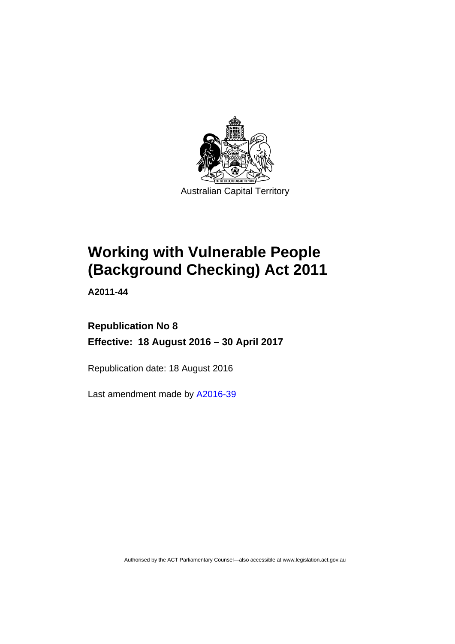

# **Working with Vulnerable People (Background Checking) Act 2011**

**A2011-44** 

# **Republication No 8 Effective: 18 August 2016 – 30 April 2017**

Republication date: 18 August 2016

Last amendment made by [A2016-39](http://www.legislation.act.gov.au/a/2016-39)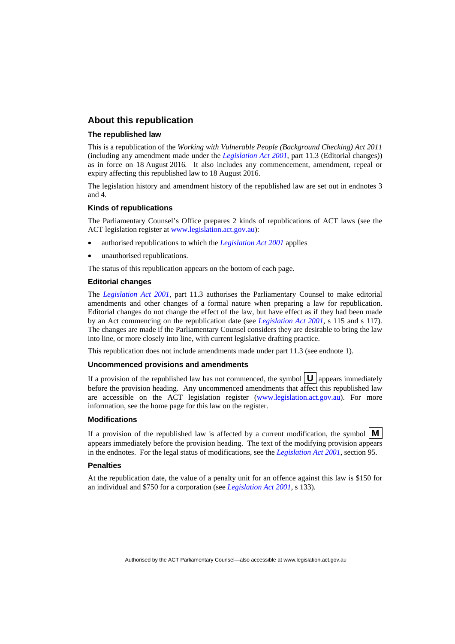### **About this republication**

#### **The republished law**

This is a republication of the *Working with Vulnerable People (Background Checking) Act 2011* (including any amendment made under the *[Legislation Act 2001](http://www.legislation.act.gov.au/a/2001-14)*, part 11.3 (Editorial changes)) as in force on 18 August 2016*.* It also includes any commencement, amendment, repeal or expiry affecting this republished law to 18 August 2016.

The legislation history and amendment history of the republished law are set out in endnotes 3 and 4.

#### **Kinds of republications**

The Parliamentary Counsel's Office prepares 2 kinds of republications of ACT laws (see the ACT legislation register at [www.legislation.act.gov.au](http://www.legislation.act.gov.au/)):

- authorised republications to which the *[Legislation Act 2001](http://www.legislation.act.gov.au/a/2001-14)* applies
- unauthorised republications.

The status of this republication appears on the bottom of each page.

#### **Editorial changes**

The *[Legislation Act 2001](http://www.legislation.act.gov.au/a/2001-14)*, part 11.3 authorises the Parliamentary Counsel to make editorial amendments and other changes of a formal nature when preparing a law for republication. Editorial changes do not change the effect of the law, but have effect as if they had been made by an Act commencing on the republication date (see *[Legislation Act 2001](http://www.legislation.act.gov.au/a/2001-14)*, s 115 and s 117). The changes are made if the Parliamentary Counsel considers they are desirable to bring the law into line, or more closely into line, with current legislative drafting practice.

This republication does not include amendments made under part 11.3 (see endnote 1).

#### **Uncommenced provisions and amendments**

If a provision of the republished law has not commenced, the symbol  $\mathbf{U}$  appears immediately before the provision heading. Any uncommenced amendments that affect this republished law are accessible on the ACT legislation register [\(www.legislation.act.gov.au\)](http://www.legislation.act.gov.au/). For more information, see the home page for this law on the register.

#### **Modifications**

If a provision of the republished law is affected by a current modification, the symbol  $\mathbf{M}$ appears immediately before the provision heading. The text of the modifying provision appears in the endnotes. For the legal status of modifications, see the *[Legislation Act 2001](http://www.legislation.act.gov.au/a/2001-14)*, section 95.

#### **Penalties**

At the republication date, the value of a penalty unit for an offence against this law is \$150 for an individual and \$750 for a corporation (see *[Legislation Act 2001](http://www.legislation.act.gov.au/a/2001-14)*, s 133).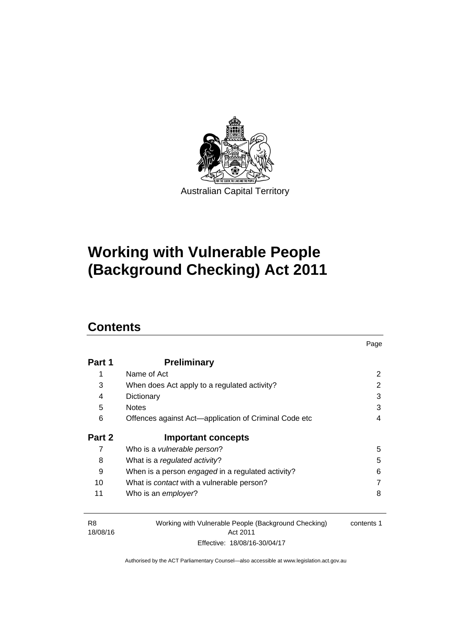

# **Working with Vulnerable People (Background Checking) Act 2011**

# **Contents**

| Part 1 | <b>Preliminary</b>                                    |   |
|--------|-------------------------------------------------------|---|
| 1      | Name of Act                                           | 2 |
| 3      | When does Act apply to a regulated activity?          | 2 |
| 4      | Dictionary                                            | 3 |
| 5      | <b>Notes</b>                                          | 3 |
| 6      | Offences against Act-application of Criminal Code etc | 4 |
|        |                                                       |   |
| Part 2 | <b>Important concepts</b>                             |   |
| 7      | Who is a vulnerable person?                           | 5 |
| 8      | What is a regulated activity?                         | 5 |
| 9      | When is a person engaged in a regulated activity?     | 6 |
| 10     | What is <i>contact</i> with a vulnerable person?      |   |

Page

| R8                   | Working with Vulnerable People (Background Checking) | contents 1 |
|----------------------|------------------------------------------------------|------------|
| 18/08/16<br>Act 2011 |                                                      |            |
|                      | Effective: 18/08/16-30/04/17                         |            |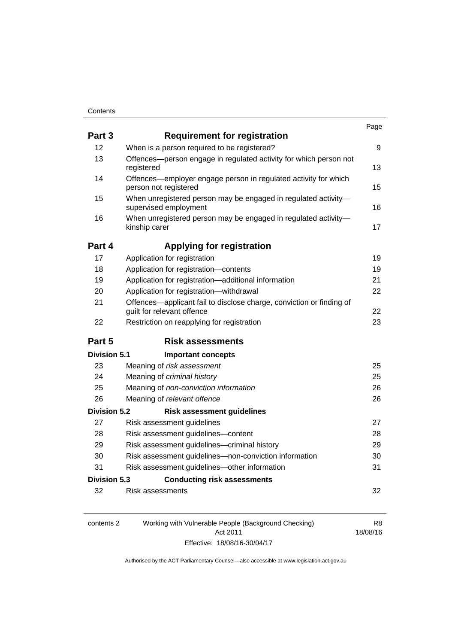| Part 3              | <b>Requirement for registration</b>                                                                |    |
|---------------------|----------------------------------------------------------------------------------------------------|----|
| 12                  | When is a person required to be registered?                                                        | 9  |
| 13                  | Offences-person engage in regulated activity for which person not<br>registered                    | 13 |
| 14                  | Offences—employer engage person in regulated activity for which<br>person not registered           | 15 |
| 15                  | When unregistered person may be engaged in regulated activity-<br>supervised employment            | 16 |
| 16                  | When unregistered person may be engaged in regulated activity-<br>kinship carer                    | 17 |
| Part 4              | <b>Applying for registration</b>                                                                   |    |
| 17                  | Application for registration                                                                       | 19 |
| 18                  | Application for registration-contents                                                              | 19 |
| 19                  | Application for registration-additional information                                                | 21 |
| 20                  | Application for registration-withdrawal                                                            | 22 |
| 21                  | Offences-applicant fail to disclose charge, conviction or finding of<br>guilt for relevant offence | 22 |
| 22                  | Restriction on reapplying for registration                                                         | 23 |
| Part 5              | <b>Risk assessments</b>                                                                            |    |
| Division 5.1        | <b>Important concepts</b>                                                                          |    |
| 23                  | Meaning of risk assessment                                                                         | 25 |
| 24                  | Meaning of criminal history                                                                        | 25 |
| 25                  | Meaning of non-conviction information                                                              | 26 |
| 26                  | Meaning of relevant offence                                                                        | 26 |
| <b>Division 5.2</b> | <b>Risk assessment guidelines</b>                                                                  |    |
| 27                  | Risk assessment guidelines                                                                         | 27 |
| 28                  | Risk assessment guidelines-content                                                                 | 28 |
| 29                  | Risk assessment guidelines-criminal history                                                        | 29 |
| 30                  | Risk assessment guidelines-non-conviction information                                              | 30 |
| 31                  | Risk assessment guidelines-other information                                                       | 31 |
| <b>Division 5.3</b> | <b>Conducting risk assessments</b>                                                                 |    |
|                     |                                                                                                    | 32 |

| contents 2 | Working with Vulnerable People (Background Checking) | R8       |
|------------|------------------------------------------------------|----------|
|            | Act 2011                                             | 18/08/16 |
|            | Effective: 18/08/16-30/04/17                         |          |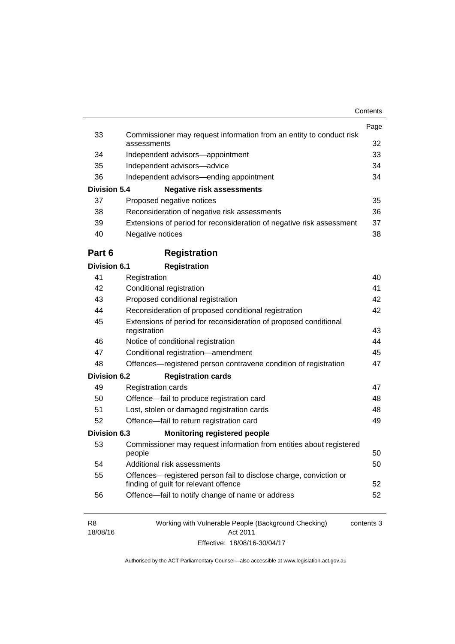|                            |                                                                                                            | Page       |
|----------------------------|------------------------------------------------------------------------------------------------------------|------------|
| 33                         | Commissioner may request information from an entity to conduct risk<br>assessments                         | 32         |
| 34                         | Independent advisors-appointment                                                                           | 33         |
| 35                         | Independent advisors-advice                                                                                | 34         |
| 36                         | Independent advisors—ending appointment                                                                    | 34         |
| <b>Division 5.4</b>        | <b>Negative risk assessments</b>                                                                           |            |
| 37                         | Proposed negative notices                                                                                  | 35         |
| 38                         | Reconsideration of negative risk assessments                                                               | 36         |
| 39                         | Extensions of period for reconsideration of negative risk assessment                                       | 37         |
| 40                         | Negative notices                                                                                           | 38         |
| Part 6                     | <b>Registration</b>                                                                                        |            |
| <b>Division 6.1</b>        | <b>Registration</b>                                                                                        |            |
| 41                         | Registration                                                                                               | 40         |
| 42                         | Conditional registration                                                                                   | 41         |
| 43                         | Proposed conditional registration                                                                          | 42         |
| 44                         | Reconsideration of proposed conditional registration                                                       | 42         |
| 45                         | Extensions of period for reconsideration of proposed conditional<br>registration                           | 43         |
| 46                         | Notice of conditional registration                                                                         | 44         |
| 47                         | Conditional registration-amendment                                                                         | 45         |
| 48                         | Offences—registered person contravene condition of registration                                            | 47         |
| Division 6.2               | <b>Registration cards</b>                                                                                  |            |
| 49                         | <b>Registration cards</b>                                                                                  | 47         |
| 50                         | Offence-fail to produce registration card                                                                  | 48         |
| 51                         | Lost, stolen or damaged registration cards                                                                 | 48         |
| 52                         | Offence-fail to return registration card                                                                   | 49         |
| <b>Division 6.3</b>        | <b>Monitoring registered people</b>                                                                        |            |
| 53                         | Commissioner may request information from entities about registered<br>people                              | 50         |
| 54                         | Additional risk assessments                                                                                | 50         |
| 55                         | Offences—registered person fail to disclose charge, conviction or<br>finding of guilt for relevant offence | 52         |
| 56                         | Offence-fail to notify change of name or address                                                           | 52         |
| R <sub>8</sub><br>18/08/16 | Working with Vulnerable People (Background Checking)<br>Act 2011                                           | contents 3 |

Effective: 18/08/16-30/04/17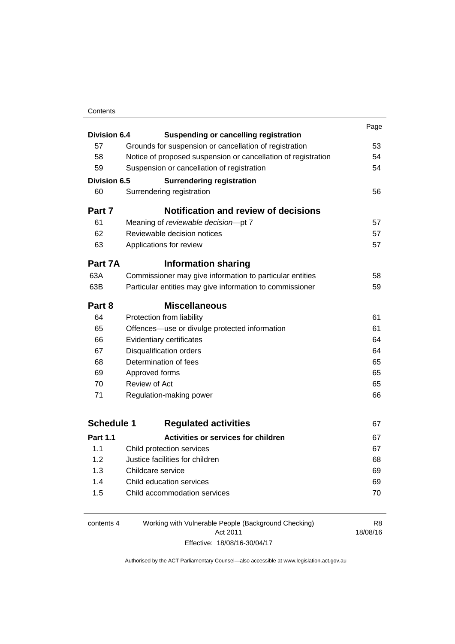#### **Contents**

|                     |                                                               | Page |
|---------------------|---------------------------------------------------------------|------|
| <b>Division 6.4</b> | <b>Suspending or cancelling registration</b>                  |      |
| 57                  | Grounds for suspension or cancellation of registration        | 53   |
| 58                  | Notice of proposed suspension or cancellation of registration | 54   |
| 59                  | Suspension or cancellation of registration                    | 54   |
| <b>Division 6.5</b> | <b>Surrendering registration</b>                              |      |
| 60                  | Surrendering registration                                     | 56   |
| Part 7              | <b>Notification and review of decisions</b>                   |      |
| 61                  | Meaning of reviewable decision-pt 7                           | 57   |
| 62                  | Reviewable decision notices                                   | 57   |
| 63                  | Applications for review                                       | 57   |
| Part 7A             | <b>Information sharing</b>                                    |      |
| 63A                 | Commissioner may give information to particular entities      | 58   |
| 63B                 | Particular entities may give information to commissioner      | 59   |
| Part 8              | <b>Miscellaneous</b>                                          |      |
| 64                  | Protection from liability                                     | 61   |
| 65                  | Offences-use or divulge protected information                 | 61   |
| 66                  | Evidentiary certificates                                      | 64   |
| 67                  | <b>Disqualification orders</b>                                | 64   |
| 68                  | Determination of fees                                         | 65   |
| 69                  | Approved forms                                                | 65   |
| 70                  | Review of Act                                                 | 65   |
| 71                  | Regulation-making power                                       | 66   |
| <b>Schedule 1</b>   | <b>Regulated activities</b>                                   | 67   |
| <b>Part 1.1</b>     | Activities or services for children                           | 67   |
| 1.1                 |                                                               | 67   |
| 1.2                 | Child protection services<br>Justice facilities for children  | 68   |
| 1.3                 | Childcare service                                             | 69   |
| 1.4                 | Child education services                                      | 69   |
|                     |                                                               |      |

| contents 4 | Working with Vulnerable People (Background Checking) | R8       |
|------------|------------------------------------------------------|----------|
|            | Act 2011                                             | 18/08/16 |
|            | Effective: 18/08/16-30/04/17                         |          |

1.5 Child accommodation services **70**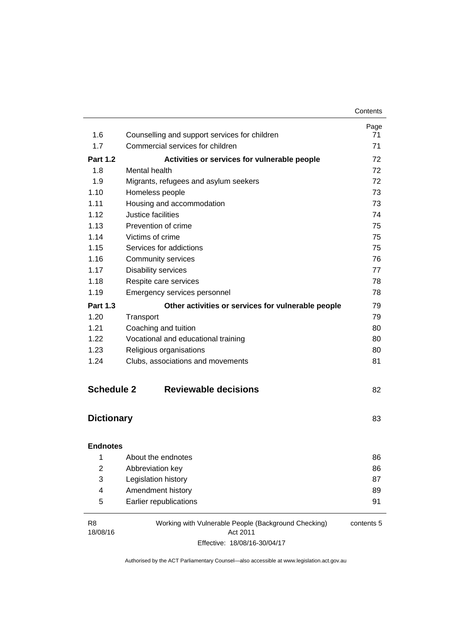|                   |                                                                                   | Page<br>71 |
|-------------------|-----------------------------------------------------------------------------------|------------|
| 1.6<br>1.7        | Counselling and support services for children<br>Commercial services for children | 71         |
|                   |                                                                                   |            |
| <b>Part 1.2</b>   | Activities or services for vulnerable people                                      | 72         |
| 1.8               | Mental health                                                                     | 72         |
| 1.9               | Migrants, refugees and asylum seekers                                             | 72         |
| 1.10              | Homeless people                                                                   | 73         |
| 1.11              | Housing and accommodation                                                         | 73         |
| 1.12              | Justice facilities                                                                | 74         |
| 1.13              | Prevention of crime                                                               | 75         |
| 1.14              | Victims of crime                                                                  | 75         |
| 1.15              | Services for addictions                                                           | 75         |
| 1.16              | <b>Community services</b>                                                         | 76         |
| 1.17              | <b>Disability services</b>                                                        | 77         |
| 1.18              | Respite care services                                                             | 78         |
| 1.19              | Emergency services personnel                                                      | 78         |
| <b>Part 1.3</b>   | Other activities or services for vulnerable people                                | 79         |
| 1.20              | Transport                                                                         | 79         |
| 1.21              | Coaching and tuition                                                              | 80         |
| 1.22              | Vocational and educational training                                               | 80         |
| 1.23              | Religious organisations                                                           | 80         |
| 1.24              | Clubs, associations and movements                                                 | 81         |
| <b>Schedule 2</b> | <b>Reviewable decisions</b>                                                       | 82         |
| <b>Dictionary</b> |                                                                                   | 83         |
| <b>Endnotes</b>   |                                                                                   |            |
| 1                 | About the endnotes                                                                | 86         |
| 2                 | Abbreviation key                                                                  | 86         |
| 3                 | Legislation history                                                               | 87         |
| 4                 | Amendment history                                                                 | 89         |
| 5                 | Earlier republications                                                            | 91         |

| R8       | Working with Vulnerable People (Background Checking) | contents 5 |
|----------|------------------------------------------------------|------------|
| 18/08/16 | Act 2011                                             |            |
|          | Effective: 18/08/16-30/04/17                         |            |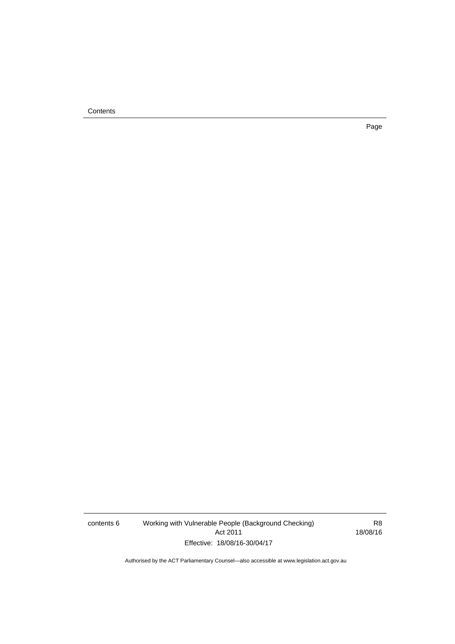**Contents** 

Page

contents 6 Working with Vulnerable People (Background Checking) Act 2011 Effective: 18/08/16-30/04/17

R8 18/08/16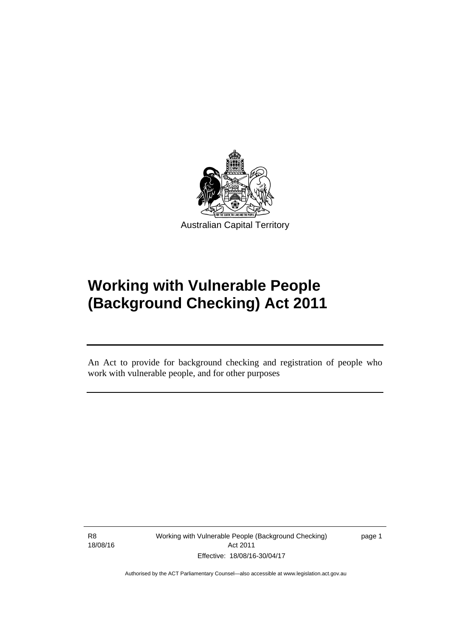

# **Working with Vulnerable People (Background Checking) Act 2011**

An Act to provide for background checking and registration of people who work with vulnerable people, and for other purposes

R8 18/08/16

l

Working with Vulnerable People (Background Checking) Act 2011 Effective: 18/08/16-30/04/17

page 1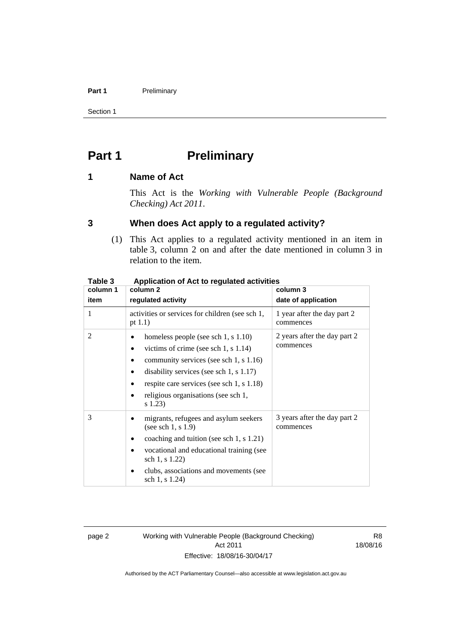#### Part 1 **Preliminary**

Section 1

# <span id="page-9-0"></span>**Part 1** Preliminary

### <span id="page-9-1"></span>**1 Name of Act**

This Act is the *Working with Vulnerable People (Background Checking) Act 2011*.

### <span id="page-9-2"></span>**3 When does Act apply to a regulated activity?**

(1) This Act applies to a regulated activity mentioned in an item in table 3, column 2 on and after the date mentioned in column 3 in relation to the item.

| rapie s  | Application of Act to regulated activities                                                                                                                                                                                                                           |                                           |  |  |
|----------|----------------------------------------------------------------------------------------------------------------------------------------------------------------------------------------------------------------------------------------------------------------------|-------------------------------------------|--|--|
| column 1 | column 2                                                                                                                                                                                                                                                             | column 3                                  |  |  |
| item     | regulated activity                                                                                                                                                                                                                                                   | date of application                       |  |  |
| 1        | activities or services for children (see sch 1,<br>pt $1.1$ )                                                                                                                                                                                                        | 1 year after the day part 2<br>commences  |  |  |
| 2        | homeless people (see sch 1, s 1.10)<br>victims of crime (see sch 1, s $1.14$ )<br>community services (see sch 1, s 1.16)<br>disability services (see sch 1, $s$ 1.17)<br>respite care services (see sch 1, s 1.18)<br>religious organisations (see sch 1,<br>s 1.23) | 2 years after the day part 2<br>commences |  |  |
| 3        | migrants, refugees and asylum seekers<br>(see sch 1, $s$ 1.9)<br>coaching and tuition (see sch 1, s 1.21)<br>vocational and educational training (see<br>sch 1, s 1.22)<br>clubs, associations and movements (see<br>sch 1, s 1.24)                                  | 3 years after the day part 2<br>commences |  |  |

### **Table 3 Application of Act to regulated activities**

page 2 Working with Vulnerable People (Background Checking) Act 2011 Effective: 18/08/16-30/04/17

R8 18/08/16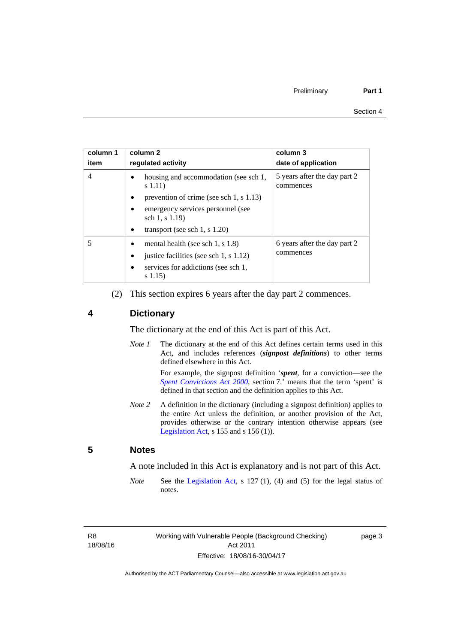| column 1<br>item | column 2<br>requlated activity                              | column 3<br>date of application           |
|------------------|-------------------------------------------------------------|-------------------------------------------|
| 4                | housing and accommodation (see sch 1,<br>s(1.11)            | 5 years after the day part 2<br>commences |
|                  | prevention of crime (see sch 1, $\sin 1.13$ )               |                                           |
|                  | emergency services personnel (see<br>sch $1, s 1.19$        |                                           |
|                  | transport (see sch 1, s $1.20$ )<br>٠                       |                                           |
|                  | mental health (see sch 1, s $1.8$ )                         | 6 years after the day part 2<br>commences |
|                  | justice facilities (see sch 1, s 1.12)                      |                                           |
|                  | services for addictions (see sch 1,<br>$\bullet$<br>s(1.15) |                                           |

(2) This section expires 6 years after the day part 2 commences.

### <span id="page-10-0"></span>**4 Dictionary**

The dictionary at the end of this Act is part of this Act.

*Note 1* The dictionary at the end of this Act defines certain terms used in this Act, and includes references (*signpost definitions*) to other terms defined elsewhere in this Act.

> For example, the signpost definition '*spent*, for a conviction—see the *[Spent Convictions Act 2000](http://www.legislation.act.gov.au/a/2000-48)*, section 7.<sup>7</sup> means that the term 'spent' is defined in that section and the definition applies to this Act.

*Note 2* A definition in the dictionary (including a signpost definition) applies to the entire Act unless the definition, or another provision of the Act, provides otherwise or the contrary intention otherwise appears (see [Legislation Act,](http://www.legislation.act.gov.au/a/2001-14)  $s$  155 and  $s$  156 (1)).

### <span id="page-10-1"></span>**5 Notes**

A note included in this Act is explanatory and is not part of this Act.

*Note* See the [Legislation Act,](http://www.legislation.act.gov.au/a/2001-14) s 127 (1), (4) and (5) for the legal status of notes.

R8 18/08/16 page 3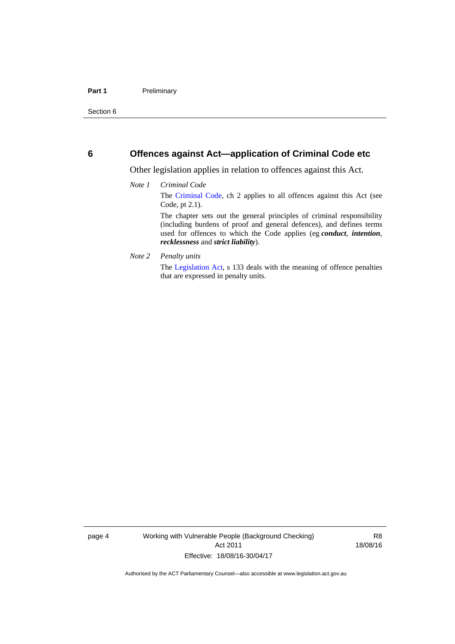### <span id="page-11-0"></span>**6 Offences against Act—application of Criminal Code etc**

Other legislation applies in relation to offences against this Act.

#### *Note 1 Criminal Code*

The [Criminal Code](http://www.legislation.act.gov.au/a/2002-51/default.asp), ch 2 applies to all offences against this Act (see Code, pt 2.1).

The chapter sets out the general principles of criminal responsibility (including burdens of proof and general defences), and defines terms used for offences to which the Code applies (eg *conduct*, *intention*, *recklessness* and *strict liability*).

#### *Note 2 Penalty units*

The [Legislation Act](http://www.legislation.act.gov.au/a/2001-14), s 133 deals with the meaning of offence penalties that are expressed in penalty units.

page 4 Working with Vulnerable People (Background Checking) Act 2011 Effective: 18/08/16-30/04/17

R8 18/08/16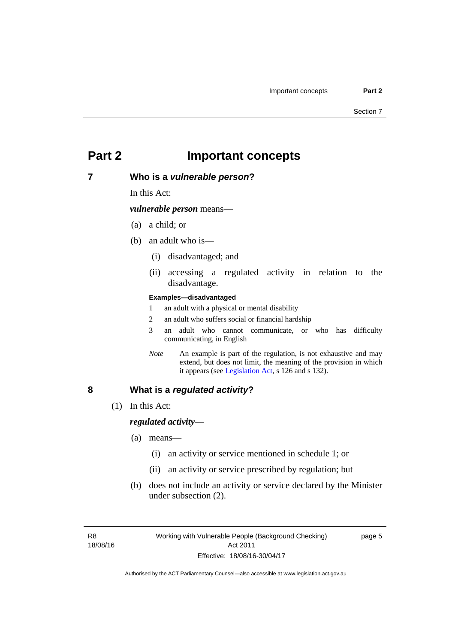## <span id="page-12-0"></span>**Part 2 Important concepts**

### <span id="page-12-1"></span>**7 Who is a** *vulnerable person***?**

In this Act:

*vulnerable person* means—

- (a) a child; or
- (b) an adult who is—
	- (i) disadvantaged; and
	- (ii) accessing a regulated activity in relation to the disadvantage.

#### **Examples—disadvantaged**

- 1 an adult with a physical or mental disability
- 2 an adult who suffers social or financial hardship
- 3 an adult who cannot communicate, or who has difficulty communicating, in English
- *Note* An example is part of the regulation, is not exhaustive and may extend, but does not limit, the meaning of the provision in which it appears (see [Legislation Act,](http://www.legislation.act.gov.au/a/2001-14) s 126 and s 132).

### <span id="page-12-2"></span>**8 What is a** *regulated activity***?**

(1) In this Act:

### *regulated activity*—

- (a) means—
	- (i) an activity or service mentioned in schedule 1; or
	- (ii) an activity or service prescribed by regulation; but
- (b) does not include an activity or service declared by the Minister under subsection (2).

R8 18/08/16 page 5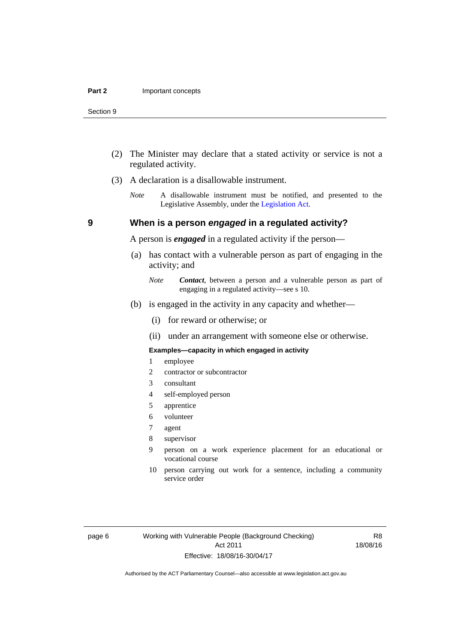- (2) The Minister may declare that a stated activity or service is not a regulated activity.
- (3) A declaration is a disallowable instrument.
	- *Note* A disallowable instrument must be notified, and presented to the Legislative Assembly, under the [Legislation Act.](http://www.legislation.act.gov.au/a/2001-14)

### **9 When is a person** *engaged* **in a regulated activity?**

A person is *engaged* in a regulated activity if the person—

- (a) has contact with a vulnerable person as part of engaging in the activity; and
	- *Note Contact*, between a person and a vulnerable person as part of engaging in a regulated activity—see s 10.
- (b) is engaged in the activity in any capacity and whether—
	- (i) for reward or otherwise; or
	- (ii) under an arrangement with someone else or otherwise.

#### **Examples—capacity in which engaged in activity**

- 1 employee
- 2 contractor or subcontractor
- 3 consultant
- 4 self-employed person
- 5 apprentice
- 6 volunteer
- 7 agent
- 8 supervisor
- 9 person on a work experience placement for an educational or vocational course
- 10 person carrying out work for a sentence, including a community service order

page 6 Working with Vulnerable People (Background Checking) Act 2011 Effective: 18/08/16-30/04/17

R8 18/08/16

<span id="page-13-0"></span>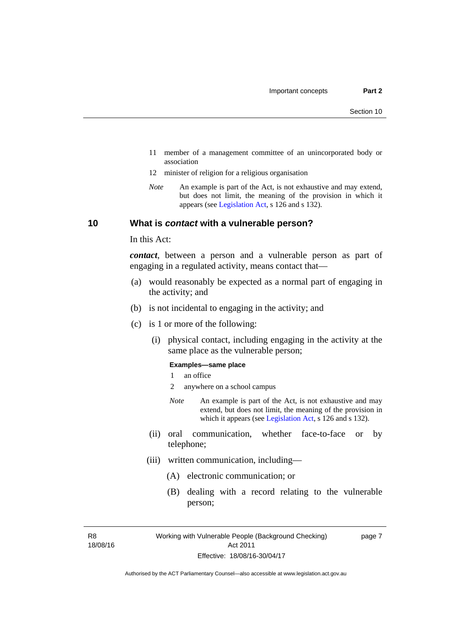- 11 member of a management committee of an unincorporated body or association
- 12 minister of religion for a religious organisation
- *Note* An example is part of the Act, is not exhaustive and may extend, but does not limit, the meaning of the provision in which it appears (see [Legislation Act,](http://www.legislation.act.gov.au/a/2001-14) s 126 and s 132).

### <span id="page-14-0"></span>**10 What is** *contact* **with a vulnerable person?**

In this Act:

*contact*, between a person and a vulnerable person as part of engaging in a regulated activity, means contact that—

- (a) would reasonably be expected as a normal part of engaging in the activity; and
- (b) is not incidental to engaging in the activity; and
- (c) is 1 or more of the following:
	- (i) physical contact, including engaging in the activity at the same place as the vulnerable person;

#### **Examples—same place**

- 1 an office
- 2 anywhere on a school campus
- *Note* An example is part of the Act, is not exhaustive and may extend, but does not limit, the meaning of the provision in which it appears (see [Legislation Act,](http://www.legislation.act.gov.au/a/2001-14) s 126 and s 132).
- (ii) oral communication, whether face-to-face or by telephone;
- (iii) written communication, including—
	- (A) electronic communication; or
	- (B) dealing with a record relating to the vulnerable person;

R8 18/08/16 page 7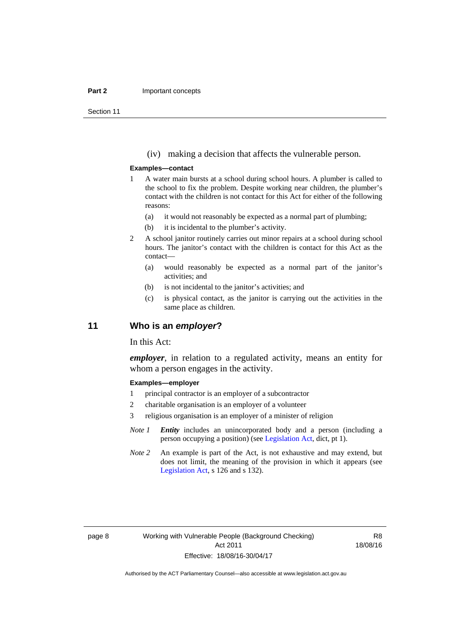#### **Part 2 Important concepts**

Section 11

(iv) making a decision that affects the vulnerable person.

#### **Examples—contact**

- 1 A water main bursts at a school during school hours. A plumber is called to the school to fix the problem. Despite working near children, the plumber's contact with the children is not contact for this Act for either of the following reasons:
	- (a) it would not reasonably be expected as a normal part of plumbing;
	- (b) it is incidental to the plumber's activity.
- 2 A school janitor routinely carries out minor repairs at a school during school hours. The janitor's contact with the children is contact for this Act as the contact—
	- (a) would reasonably be expected as a normal part of the janitor's activities; and
	- (b) is not incidental to the janitor's activities; and
	- (c) is physical contact, as the janitor is carrying out the activities in the same place as children.

### <span id="page-15-0"></span>**11 Who is an** *employer***?**

In this Act:

*employer*, in relation to a regulated activity, means an entity for whom a person engages in the activity.

#### **Examples—employer**

- 1 principal contractor is an employer of a subcontractor
- 2 charitable organisation is an employer of a volunteer
- 3 religious organisation is an employer of a minister of religion
- *Note 1 Entity* includes an unincorporated body and a person (including a person occupying a position) (see [Legislation Act,](http://www.legislation.act.gov.au/a/2001-14) dict, pt 1).
- *Note* 2 An example is part of the Act, is not exhaustive and may extend, but does not limit, the meaning of the provision in which it appears (see [Legislation Act,](http://www.legislation.act.gov.au/a/2001-14) s 126 and s 132).

R8 18/08/16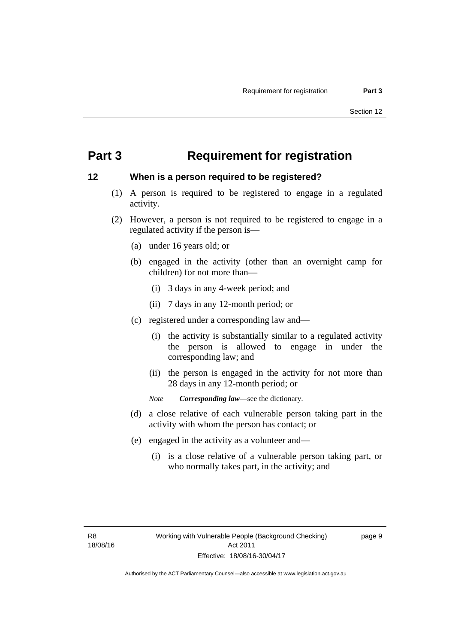## <span id="page-16-0"></span>**Part 3 Requirement for registration**

### <span id="page-16-1"></span>**12 When is a person required to be registered?**

- (1) A person is required to be registered to engage in a regulated activity.
- (2) However, a person is not required to be registered to engage in a regulated activity if the person is—
	- (a) under 16 years old; or
	- (b) engaged in the activity (other than an overnight camp for children) for not more than—
		- (i) 3 days in any 4-week period; and
		- (ii) 7 days in any 12-month period; or
	- (c) registered under a corresponding law and—
		- (i) the activity is substantially similar to a regulated activity the person is allowed to engage in under the corresponding law; and
		- (ii) the person is engaged in the activity for not more than 28 days in any 12-month period; or
		- *Note Corresponding law*—see the dictionary.
	- (d) a close relative of each vulnerable person taking part in the activity with whom the person has contact; or
	- (e) engaged in the activity as a volunteer and—
		- (i) is a close relative of a vulnerable person taking part, or who normally takes part, in the activity; and

page 9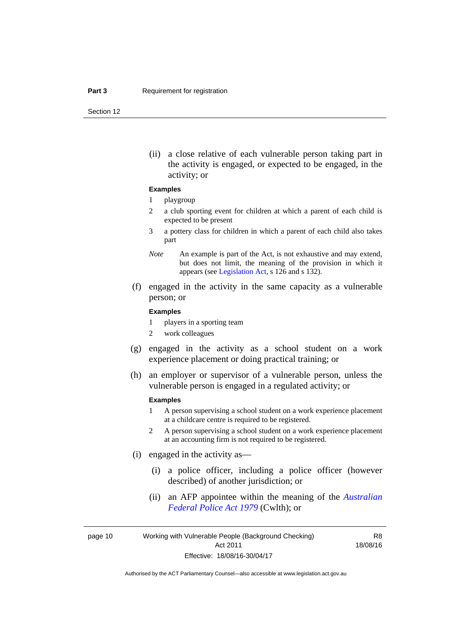Section 12

(ii) a close relative of each vulnerable person taking part in the activity is engaged, or expected to be engaged, in the activity; or

#### **Examples**

#### 1 playgroup

- 2 a club sporting event for children at which a parent of each child is expected to be present
- 3 a pottery class for children in which a parent of each child also takes part
- *Note* An example is part of the Act, is not exhaustive and may extend, but does not limit, the meaning of the provision in which it appears (see [Legislation Act,](http://www.legislation.act.gov.au/a/2001-14) s 126 and s 132).
- (f) engaged in the activity in the same capacity as a vulnerable person; or

#### **Examples**

- 1 players in a sporting team
- 2 work colleagues
- (g) engaged in the activity as a school student on a work experience placement or doing practical training; or
- (h) an employer or supervisor of a vulnerable person, unless the vulnerable person is engaged in a regulated activity; or

#### **Examples**

- 1 A person supervising a school student on a work experience placement at a childcare centre is required to be registered.
- 2 A person supervising a school student on a work experience placement at an accounting firm is not required to be registered.
- (i) engaged in the activity as—
	- (i) a police officer, including a police officer (however described) of another jurisdiction; or
	- (ii) an AFP appointee within the meaning of the *[Australian](http://www.comlaw.gov.au/Series/C2004A02068)  [Federal Police Act 1979](http://www.comlaw.gov.au/Series/C2004A02068)* (Cwlth); or

page 10 Working with Vulnerable People (Background Checking) Act 2011 Effective: 18/08/16-30/04/17

R8 18/08/16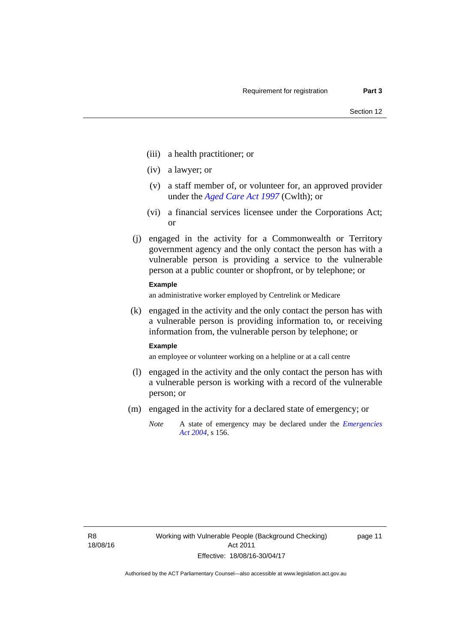- (iii) a health practitioner; or
- (iv) a lawyer; or
- (v) a staff member of, or volunteer for, an approved provider under the *[Aged Care Act 1997](http://www.comlaw.gov.au/Series/C2004A05206)* (Cwlth); or
- (vi) a financial services licensee under the Corporations Act; or
- (j) engaged in the activity for a Commonwealth or Territory government agency and the only contact the person has with a vulnerable person is providing a service to the vulnerable person at a public counter or shopfront, or by telephone; or

#### **Example**

an administrative worker employed by Centrelink or Medicare

 (k) engaged in the activity and the only contact the person has with a vulnerable person is providing information to, or receiving information from, the vulnerable person by telephone; or

#### **Example**

an employee or volunteer working on a helpline or at a call centre

- (l) engaged in the activity and the only contact the person has with a vulnerable person is working with a record of the vulnerable person; or
- (m) engaged in the activity for a declared state of emergency; or
	- *Note* A state of emergency may be declared under the *[Emergencies](http://www.legislation.act.gov.au/a/2004-28)  [Act 2004](http://www.legislation.act.gov.au/a/2004-28)*, s 156.

page 11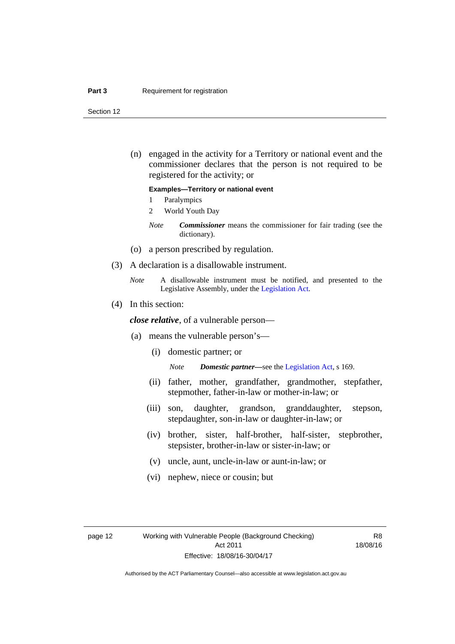#### **Part 3 Requirement for registration**

Section 12

 (n) engaged in the activity for a Territory or national event and the commissioner declares that the person is not required to be registered for the activity; or

#### **Examples—Territory or national event**

- 1 Paralympics
- 2 World Youth Day
- *Note Commissioner* means the commissioner for fair trading (see the dictionary).
- (o) a person prescribed by regulation.
- (3) A declaration is a disallowable instrument.
	- *Note* A disallowable instrument must be notified, and presented to the Legislative Assembly, under the [Legislation Act.](http://www.legislation.act.gov.au/a/2001-14)
- (4) In this section:

*close relative*, of a vulnerable person—

- (a) means the vulnerable person's—
	- (i) domestic partner; or

*Note Domestic partner—*see the [Legislation Act](http://www.legislation.act.gov.au/a/2001-14), s 169.

- (ii) father, mother, grandfather, grandmother, stepfather, stepmother, father-in-law or mother-in-law; or
- (iii) son, daughter, grandson, granddaughter, stepson, stepdaughter, son-in-law or daughter-in-law; or
- (iv) brother, sister, half-brother, half-sister, stepbrother, stepsister, brother-in-law or sister-in-law; or
- (v) uncle, aunt, uncle-in-law or aunt-in-law; or
- (vi) nephew, niece or cousin; but

R8 18/08/16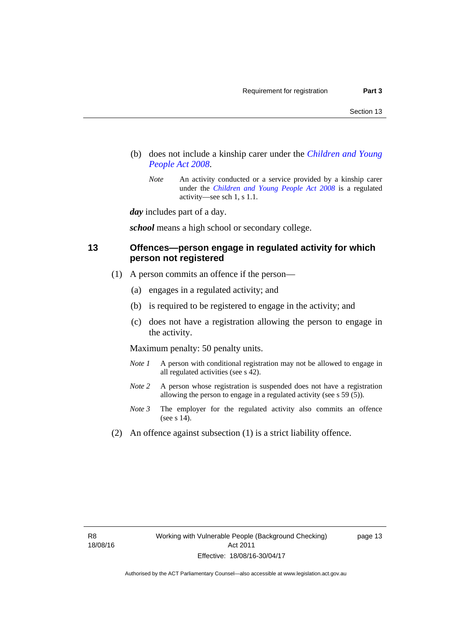- (b) does not include a kinship carer under the *[Children and Young](http://www.legislation.act.gov.au/a/2008-19)  [People Act 2008](http://www.legislation.act.gov.au/a/2008-19)*.
	- *Note* An activity conducted or a service provided by a kinship carer under the *[Children and Young People Act 2008](http://www.legislation.act.gov.au/a/2008-19)* is a regulated activity—see sch 1, s 1.1.

*day* includes part of a day.

*school* means a high school or secondary college.

### <span id="page-20-0"></span>**13 Offences—person engage in regulated activity for which person not registered**

- (1) A person commits an offence if the person—
	- (a) engages in a regulated activity; and
	- (b) is required to be registered to engage in the activity; and
	- (c) does not have a registration allowing the person to engage in the activity.

Maximum penalty: 50 penalty units.

- *Note 1* A person with conditional registration may not be allowed to engage in all regulated activities (see s 42).
- *Note* 2 A person whose registration is suspended does not have a registration allowing the person to engage in a regulated activity (see s 59 (5)).
- *Note 3* The employer for the regulated activity also commits an offence (see s 14).
- (2) An offence against subsection (1) is a strict liability offence.

page 13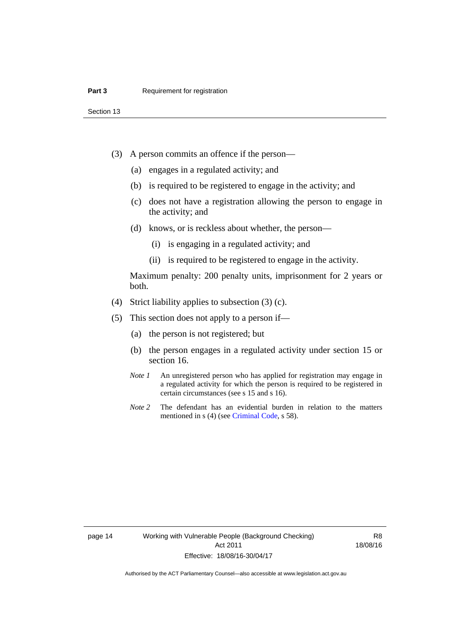Section 13

- (3) A person commits an offence if the person—
	- (a) engages in a regulated activity; and
	- (b) is required to be registered to engage in the activity; and
	- (c) does not have a registration allowing the person to engage in the activity; and
	- (d) knows, or is reckless about whether, the person—
		- (i) is engaging in a regulated activity; and
		- (ii) is required to be registered to engage in the activity.

Maximum penalty: 200 penalty units, imprisonment for 2 years or both.

- (4) Strict liability applies to subsection (3) (c).
- (5) This section does not apply to a person if—
	- (a) the person is not registered; but
	- (b) the person engages in a regulated activity under section 15 or section 16.
	- *Note 1* An unregistered person who has applied for registration may engage in a regulated activity for which the person is required to be registered in certain circumstances (see s 15 and s 16).
	- *Note* 2 The defendant has an evidential burden in relation to the matters mentioned in s (4) (see [Criminal Code](http://www.legislation.act.gov.au/a/2002-51/default.asp), s 58).

page 14 Working with Vulnerable People (Background Checking) Act 2011 Effective: 18/08/16-30/04/17

R8 18/08/16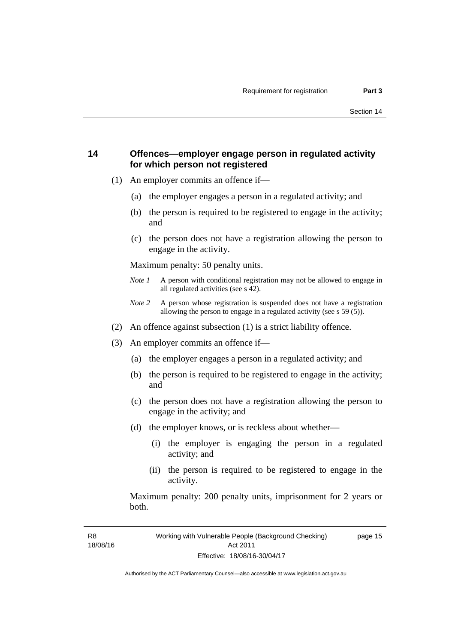### <span id="page-22-0"></span>**14 Offences—employer engage person in regulated activity for which person not registered**

- (1) An employer commits an offence if—
	- (a) the employer engages a person in a regulated activity; and
	- (b) the person is required to be registered to engage in the activity; and
	- (c) the person does not have a registration allowing the person to engage in the activity.

Maximum penalty: 50 penalty units.

- *Note 1* A person with conditional registration may not be allowed to engage in all regulated activities (see s 42).
- *Note 2* A person whose registration is suspended does not have a registration allowing the person to engage in a regulated activity (see s 59 (5)).
- (2) An offence against subsection (1) is a strict liability offence.
- (3) An employer commits an offence if—
	- (a) the employer engages a person in a regulated activity; and
	- (b) the person is required to be registered to engage in the activity; and
	- (c) the person does not have a registration allowing the person to engage in the activity; and
	- (d) the employer knows, or is reckless about whether—
		- (i) the employer is engaging the person in a regulated activity; and
		- (ii) the person is required to be registered to engage in the activity.

Maximum penalty: 200 penalty units, imprisonment for 2 years or both.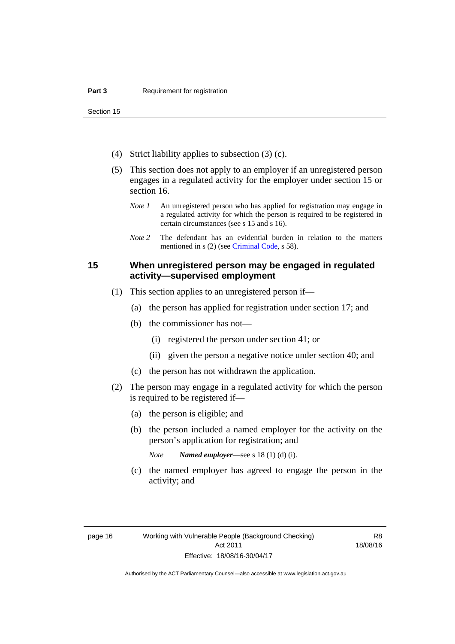Section 15

- (4) Strict liability applies to subsection (3) (c).
- (5) This section does not apply to an employer if an unregistered person engages in a regulated activity for the employer under section 15 or section 16.
	- *Note 1* An unregistered person who has applied for registration may engage in a regulated activity for which the person is required to be registered in certain circumstances (see s 15 and s 16).
	- *Note* 2 The defendant has an evidential burden in relation to the matters mentioned in s (2) (see [Criminal Code](http://www.legislation.act.gov.au/a/2002-51/default.asp), s 58).

### <span id="page-23-0"></span>**15 When unregistered person may be engaged in regulated activity—supervised employment**

- (1) This section applies to an unregistered person if—
	- (a) the person has applied for registration under section 17; and
	- (b) the commissioner has not—
		- (i) registered the person under section 41; or
		- (ii) given the person a negative notice under section 40; and
	- (c) the person has not withdrawn the application.
- (2) The person may engage in a regulated activity for which the person is required to be registered if—
	- (a) the person is eligible; and
	- (b) the person included a named employer for the activity on the person's application for registration; and
		- *Note Named employer*—see s 18 (1) (d) (i).
	- (c) the named employer has agreed to engage the person in the activity; and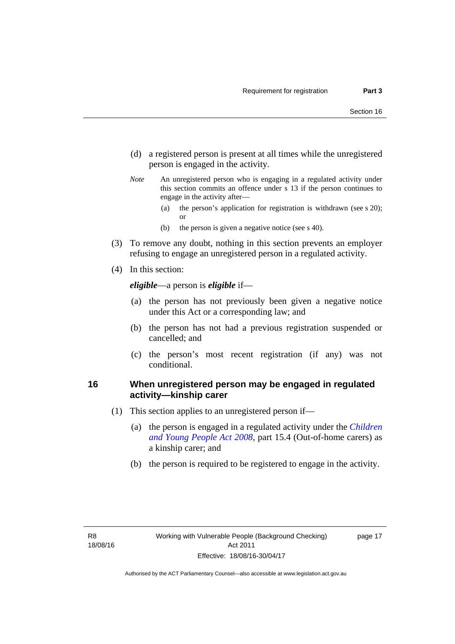- (d) a registered person is present at all times while the unregistered person is engaged in the activity.
- *Note* An unregistered person who is engaging in a regulated activity under this section commits an offence under s 13 if the person continues to engage in the activity after—
	- (a) the person's application for registration is withdrawn (see s 20); or
	- (b) the person is given a negative notice (see s 40).
- (3) To remove any doubt, nothing in this section prevents an employer refusing to engage an unregistered person in a regulated activity.
- (4) In this section:

*eligible*—a person is *eligible* if—

- (a) the person has not previously been given a negative notice under this Act or a corresponding law; and
- (b) the person has not had a previous registration suspended or cancelled; and
- (c) the person's most recent registration (if any) was not conditional.

### <span id="page-24-0"></span>**16 When unregistered person may be engaged in regulated activity—kinship carer**

- (1) This section applies to an unregistered person if—
	- (a) the person is engaged in a regulated activity under the *[Children](http://www.legislation.act.gov.au/a/2008-19)  [and Young People Act 2008](http://www.legislation.act.gov.au/a/2008-19)*, part 15.4 (Out-of-home carers) as a kinship carer; and
	- (b) the person is required to be registered to engage in the activity.

page 17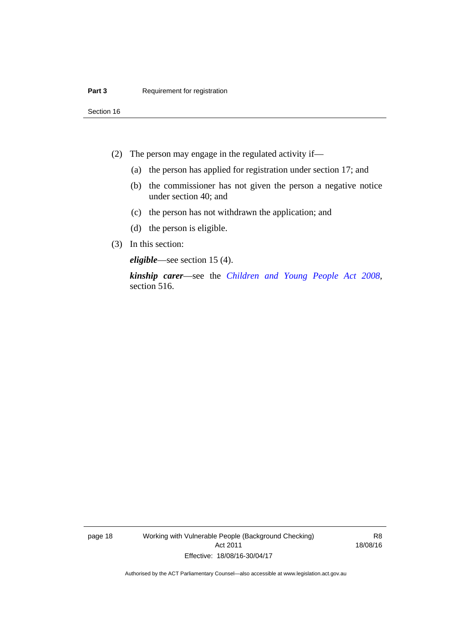Section 16

- (2) The person may engage in the regulated activity if—
	- (a) the person has applied for registration under section 17; and
	- (b) the commissioner has not given the person a negative notice under section 40; and
	- (c) the person has not withdrawn the application; and
	- (d) the person is eligible.
- (3) In this section:

*eligible*—see section 15 (4).

*kinship carer*—see the *[Children and Young People Act 2008](http://www.legislation.act.gov.au/a/2008-19)*, section 516.

page 18 Working with Vulnerable People (Background Checking) Act 2011 Effective: 18/08/16-30/04/17

R8 18/08/16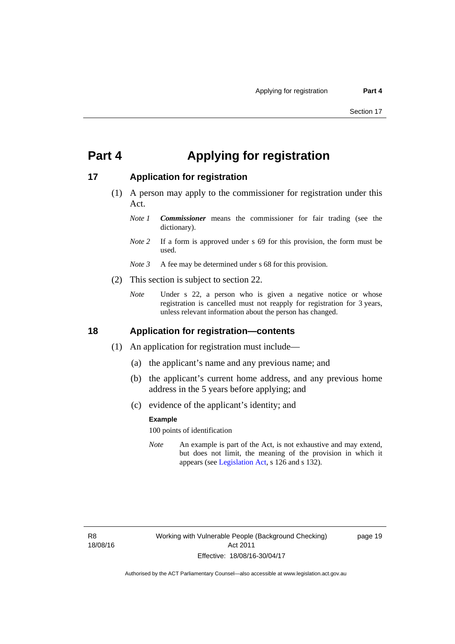## <span id="page-26-0"></span>**Part 4 Applying for registration**

### <span id="page-26-1"></span>**17 Application for registration**

- (1) A person may apply to the commissioner for registration under this Act.
	- *Note 1 Commissioner* means the commissioner for fair trading (see the dictionary).
	- *Note* 2 If a form is approved under s 69 for this provision, the form must be used.
	- *Note 3* A fee may be determined under s 68 for this provision.
- (2) This section is subject to section 22.
	- *Note* Under s 22, a person who is given a negative notice or whose registration is cancelled must not reapply for registration for 3 years, unless relevant information about the person has changed.

### <span id="page-26-2"></span>**18 Application for registration—contents**

- (1) An application for registration must include—
	- (a) the applicant's name and any previous name; and
	- (b) the applicant's current home address, and any previous home address in the 5 years before applying; and
	- (c) evidence of the applicant's identity; and

#### **Example**

100 points of identification

*Note* An example is part of the Act, is not exhaustive and may extend, but does not limit, the meaning of the provision in which it appears (see [Legislation Act,](http://www.legislation.act.gov.au/a/2001-14) s 126 and s 132).

page 19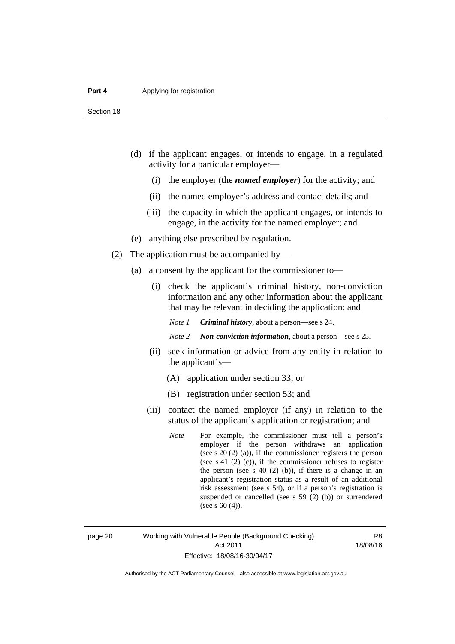- (d) if the applicant engages, or intends to engage, in a regulated activity for a particular employer—
	- (i) the employer (the *named employer*) for the activity; and
	- (ii) the named employer's address and contact details; and
	- (iii) the capacity in which the applicant engages, or intends to engage, in the activity for the named employer; and
- (e) anything else prescribed by regulation.
- (2) The application must be accompanied by—
	- (a) a consent by the applicant for the commissioner to—
		- (i) check the applicant's criminal history, non-conviction information and any other information about the applicant that may be relevant in deciding the application; and

*Note 1 Criminal history*, about a person*—*see s 24.

*Note 2 Non-conviction information*, about a person—see s 25.

- (ii) seek information or advice from any entity in relation to the applicant's—
	- (A) application under section 33; or
	- (B) registration under section 53; and
- (iii) contact the named employer (if any) in relation to the status of the applicant's application or registration; and
	- *Note* For example, the commissioner must tell a person's employer if the person withdraws an application (see s 20 (2) (a)), if the commissioner registers the person (see s 41 (2) (c)), if the commissioner refuses to register the person (see s  $40$  (2) (b)), if there is a change in an applicant's registration status as a result of an additional risk assessment (see s 54), or if a person's registration is suspended or cancelled (see s 59 (2) (b)) or surrendered (see s 60 (4)).

page 20 Working with Vulnerable People (Background Checking) Act 2011 Effective: 18/08/16-30/04/17

R8 18/08/16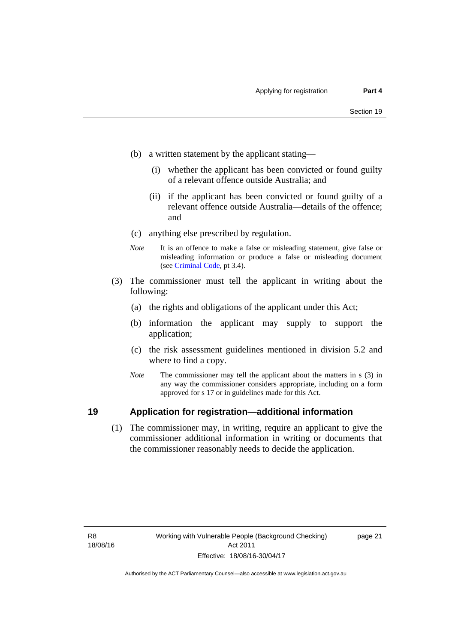- (b) a written statement by the applicant stating—
	- (i) whether the applicant has been convicted or found guilty of a relevant offence outside Australia; and
	- (ii) if the applicant has been convicted or found guilty of a relevant offence outside Australia—details of the offence; and
- (c) anything else prescribed by regulation.
- *Note* It is an offence to make a false or misleading statement, give false or misleading information or produce a false or misleading document (see [Criminal Code,](http://www.legislation.act.gov.au/a/2002-51/default.asp) pt 3.4).
- (3) The commissioner must tell the applicant in writing about the following:
	- (a) the rights and obligations of the applicant under this Act;
	- (b) information the applicant may supply to support the application;
	- (c) the risk assessment guidelines mentioned in division 5.2 and where to find a copy.
	- *Note* The commissioner may tell the applicant about the matters in s (3) in any way the commissioner considers appropriate, including on a form approved for s 17 or in guidelines made for this Act.

### <span id="page-28-0"></span>**19 Application for registration—additional information**

 (1) The commissioner may, in writing, require an applicant to give the commissioner additional information in writing or documents that the commissioner reasonably needs to decide the application.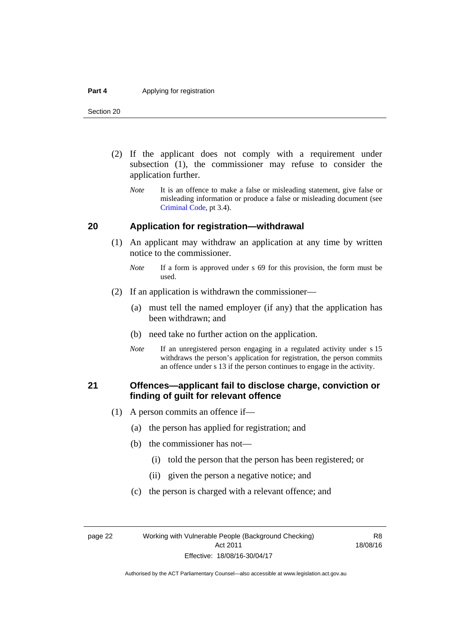Section 20

- (2) If the applicant does not comply with a requirement under subsection (1), the commissioner may refuse to consider the application further.
	- *Note* It is an offence to make a false or misleading statement, give false or misleading information or produce a false or misleading document (see [Criminal Code](http://www.legislation.act.gov.au/a/2002-51/default.asp), pt 3.4).

### <span id="page-29-0"></span>**20 Application for registration—withdrawal**

- (1) An applicant may withdraw an application at any time by written notice to the commissioner.
	- *Note* If a form is approved under s 69 for this provision, the form must be used.
- (2) If an application is withdrawn the commissioner—
	- (a) must tell the named employer (if any) that the application has been withdrawn; and
	- (b) need take no further action on the application.
	- *Note* If an unregistered person engaging in a regulated activity under s 15 withdraws the person's application for registration, the person commits an offence under s 13 if the person continues to engage in the activity.

### <span id="page-29-1"></span>**21 Offences—applicant fail to disclose charge, conviction or finding of guilt for relevant offence**

- (1) A person commits an offence if—
	- (a) the person has applied for registration; and
	- (b) the commissioner has not—
		- (i) told the person that the person has been registered; or
		- (ii) given the person a negative notice; and
	- (c) the person is charged with a relevant offence; and

page 22 Working with Vulnerable People (Background Checking) Act 2011 Effective: 18/08/16-30/04/17

R8 18/08/16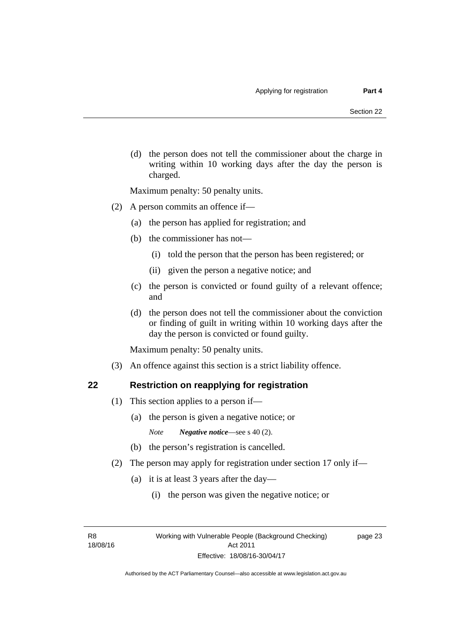(d) the person does not tell the commissioner about the charge in writing within 10 working days after the day the person is charged.

Maximum penalty: 50 penalty units.

- (2) A person commits an offence if—
	- (a) the person has applied for registration; and
	- (b) the commissioner has not—
		- (i) told the person that the person has been registered; or
		- (ii) given the person a negative notice; and
	- (c) the person is convicted or found guilty of a relevant offence; and
	- (d) the person does not tell the commissioner about the conviction or finding of guilt in writing within 10 working days after the day the person is convicted or found guilty.

Maximum penalty: 50 penalty units.

(3) An offence against this section is a strict liability offence.

<span id="page-30-0"></span>

### **22 Restriction on reapplying for registration**

- (1) This section applies to a person if—
	- (a) the person is given a negative notice; or

*Note Negative notice*—see s 40 (2).

- (b) the person's registration is cancelled.
- (2) The person may apply for registration under section 17 only if—
	- (a) it is at least 3 years after the day—
		- (i) the person was given the negative notice; or

R8 18/08/16 page 23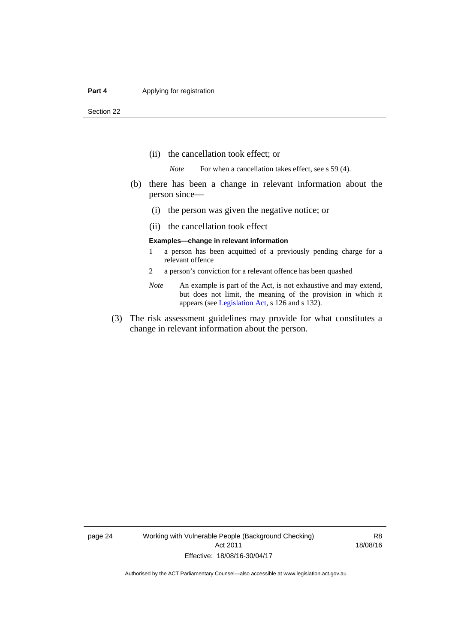#### **Part 4 Applying for registration**

Section 22

- (ii) the cancellation took effect; or
	- *Note* For when a cancellation takes effect, see s 59 (4).
- (b) there has been a change in relevant information about the person since—
	- (i) the person was given the negative notice; or
	- (ii) the cancellation took effect

#### **Examples—change in relevant information**

- 1 a person has been acquitted of a previously pending charge for a relevant offence
- 2 a person's conviction for a relevant offence has been quashed
- *Note* An example is part of the Act, is not exhaustive and may extend, but does not limit, the meaning of the provision in which it appears (see [Legislation Act,](http://www.legislation.act.gov.au/a/2001-14) s 126 and s 132).
- (3) The risk assessment guidelines may provide for what constitutes a change in relevant information about the person.

page 24 Working with Vulnerable People (Background Checking) Act 2011 Effective: 18/08/16-30/04/17

R8 18/08/16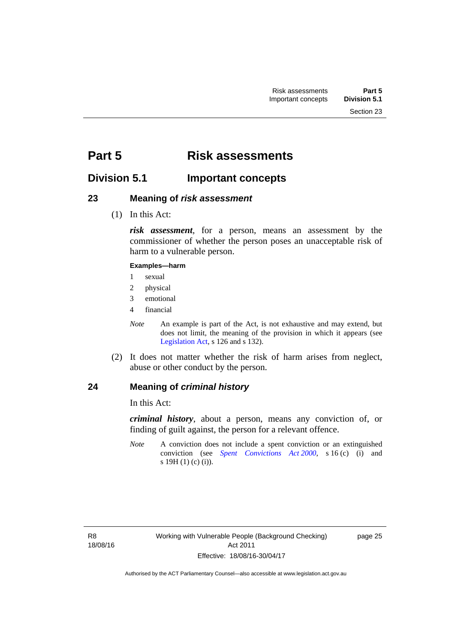# <span id="page-32-0"></span>**Part 5 Risk assessments**

### <span id="page-32-1"></span>**Division 5.1 Important concepts**

### <span id="page-32-2"></span>**23 Meaning of** *risk assessment*

(1) In this Act:

*risk assessment*, for a person, means an assessment by the commissioner of whether the person poses an unacceptable risk of harm to a vulnerable person.

### **Examples—harm**

- 1 sexual
- 2 physical
- 3 emotional
- 4 financial
- *Note* An example is part of the Act, is not exhaustive and may extend, but does not limit, the meaning of the provision in which it appears (see [Legislation Act,](http://www.legislation.act.gov.au/a/2001-14) s 126 and s 132).
- (2) It does not matter whether the risk of harm arises from neglect, abuse or other conduct by the person.

### <span id="page-32-3"></span>**24 Meaning of** *criminal history*

In this Act:

*criminal history*, about a person, means any conviction of, or finding of guilt against, the person for a relevant offence.

*Note* A conviction does not include a spent conviction or an extinguished conviction (see *[Spent Convictions Act 2000](http://www.legislation.act.gov.au/a/2000-48)*, s 16 (c) (i) and s 19H (1) (c) (i)).

page 25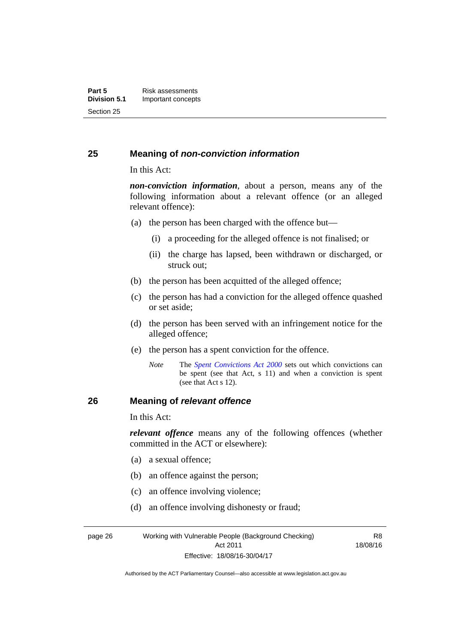### <span id="page-33-0"></span>**25 Meaning of** *non-conviction information*

In this Act:

*non-conviction information*, about a person, means any of the following information about a relevant offence (or an alleged relevant offence):

- (a) the person has been charged with the offence but—
	- (i) a proceeding for the alleged offence is not finalised; or
	- (ii) the charge has lapsed, been withdrawn or discharged, or struck out;
- (b) the person has been acquitted of the alleged offence;
- (c) the person has had a conviction for the alleged offence quashed or set aside;
- (d) the person has been served with an infringement notice for the alleged offence;
- (e) the person has a spent conviction for the offence.
	- *Note* The *[Spent Convictions Act 2000](http://www.legislation.act.gov.au/a/2000-48)* sets out which convictions can be spent (see that Act, s 11) and when a conviction is spent (see that Act s 12).

### <span id="page-33-1"></span>**26 Meaning of** *relevant offence*

In this Act:

*relevant offence* means any of the following offences (whether committed in the ACT or elsewhere):

- (a) a sexual offence;
- (b) an offence against the person;
- (c) an offence involving violence;
- (d) an offence involving dishonesty or fraud;

page 26 Working with Vulnerable People (Background Checking) Act 2011 Effective: 18/08/16-30/04/17

R8 18/08/16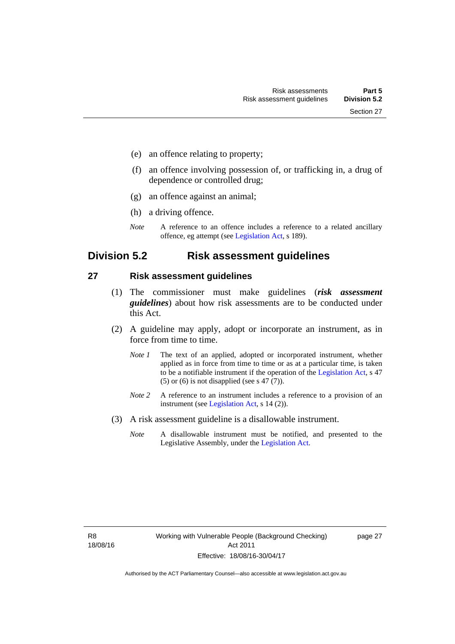- (e) an offence relating to property;
- (f) an offence involving possession of, or trafficking in, a drug of dependence or controlled drug;
- (g) an offence against an animal;
- (h) a driving offence.
- *Note* A reference to an offence includes a reference to a related ancillary offence, eg attempt (see [Legislation Act,](http://www.legislation.act.gov.au/a/2001-14) s 189).

### <span id="page-34-0"></span>**Division 5.2 Risk assessment guidelines**

#### <span id="page-34-1"></span>**27 Risk assessment guidelines**

- (1) The commissioner must make guidelines (*risk assessment guidelines*) about how risk assessments are to be conducted under this Act.
- (2) A guideline may apply, adopt or incorporate an instrument, as in force from time to time.
	- *Note 1* The text of an applied, adopted or incorporated instrument, whether applied as in force from time to time or as at a particular time, is taken to be a notifiable instrument if the operation of the [Legislation Act,](http://www.legislation.act.gov.au/a/2001-14) s 47 (5) or (6) is not disapplied (see s 47 (7)).
	- *Note 2* A reference to an instrument includes a reference to a provision of an instrument (see [Legislation Act,](http://www.legislation.act.gov.au/a/2001-14) s 14 (2)).
- (3) A risk assessment guideline is a disallowable instrument.
	- *Note* A disallowable instrument must be notified, and presented to the Legislative Assembly, under the [Legislation Act.](http://www.legislation.act.gov.au/a/2001-14)

page 27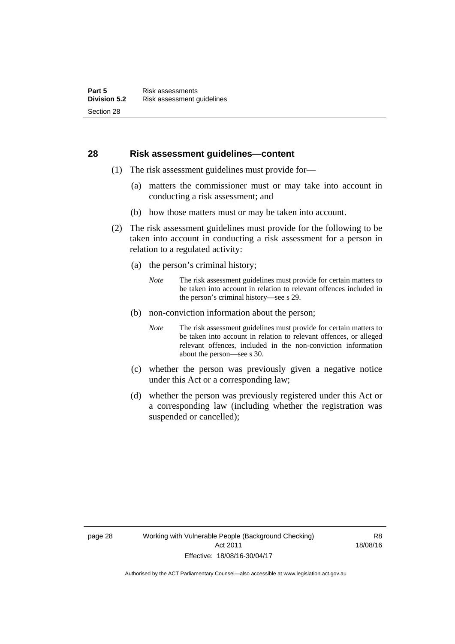### <span id="page-35-0"></span>**28 Risk assessment guidelines—content**

- (1) The risk assessment guidelines must provide for—
	- (a) matters the commissioner must or may take into account in conducting a risk assessment; and
	- (b) how those matters must or may be taken into account.
- (2) The risk assessment guidelines must provide for the following to be taken into account in conducting a risk assessment for a person in relation to a regulated activity:
	- (a) the person's criminal history;
		- *Note* The risk assessment guidelines must provide for certain matters to be taken into account in relation to relevant offences included in the person's criminal history—see s 29.
	- (b) non-conviction information about the person;
		- *Note* The risk assessment guidelines must provide for certain matters to be taken into account in relation to relevant offences, or alleged relevant offences, included in the non-conviction information about the person—see s 30.
	- (c) whether the person was previously given a negative notice under this Act or a corresponding law;
	- (d) whether the person was previously registered under this Act or a corresponding law (including whether the registration was suspended or cancelled);

R8 18/08/16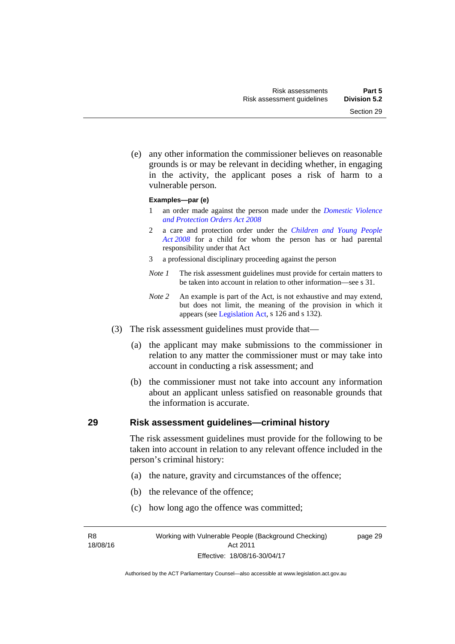Section 29

 (e) any other information the commissioner believes on reasonable grounds is or may be relevant in deciding whether, in engaging in the activity, the applicant poses a risk of harm to a

#### **Examples—par (e)**

vulnerable person.

- 1 an order made against the person made under the *[Domestic Violence](http://www.legislation.act.gov.au/a/2008-46)  [and Protection Orders Act 2008](http://www.legislation.act.gov.au/a/2008-46)*
- 2 a care and protection order under the *[Children and Young People](http://www.legislation.act.gov.au/a/2008-19)  [Act 2008](http://www.legislation.act.gov.au/a/2008-19)* for a child for whom the person has or had parental responsibility under that Act
- 3 a professional disciplinary proceeding against the person
- *Note 1* The risk assessment guidelines must provide for certain matters to be taken into account in relation to other information—see s 31.
- *Note 2* An example is part of the Act, is not exhaustive and may extend, but does not limit, the meaning of the provision in which it appears (see [Legislation Act,](http://www.legislation.act.gov.au/a/2001-14) s 126 and s 132).
- (3) The risk assessment guidelines must provide that—
	- (a) the applicant may make submissions to the commissioner in relation to any matter the commissioner must or may take into account in conducting a risk assessment; and
	- (b) the commissioner must not take into account any information about an applicant unless satisfied on reasonable grounds that the information is accurate.

# **29 Risk assessment guidelines—criminal history**

The risk assessment guidelines must provide for the following to be taken into account in relation to any relevant offence included in the person's criminal history:

- (a) the nature, gravity and circumstances of the offence;
- (b) the relevance of the offence;
- (c) how long ago the offence was committed;

R8 18/08/16 page 29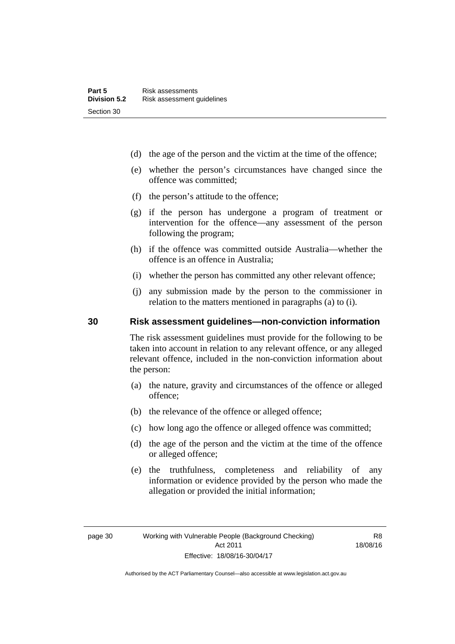- (d) the age of the person and the victim at the time of the offence;
- (e) whether the person's circumstances have changed since the offence was committed;
- (f) the person's attitude to the offence;
- (g) if the person has undergone a program of treatment or intervention for the offence—any assessment of the person following the program;
- (h) if the offence was committed outside Australia—whether the offence is an offence in Australia;
- (i) whether the person has committed any other relevant offence;
- (j) any submission made by the person to the commissioner in relation to the matters mentioned in paragraphs (a) to (i).

# **30 Risk assessment guidelines—non-conviction information**

The risk assessment guidelines must provide for the following to be taken into account in relation to any relevant offence, or any alleged relevant offence, included in the non-conviction information about the person:

- (a) the nature, gravity and circumstances of the offence or alleged offence;
- (b) the relevance of the offence or alleged offence;
- (c) how long ago the offence or alleged offence was committed;
- (d) the age of the person and the victim at the time of the offence or alleged offence;
- (e) the truthfulness, completeness and reliability of any information or evidence provided by the person who made the allegation or provided the initial information;

R8 18/08/16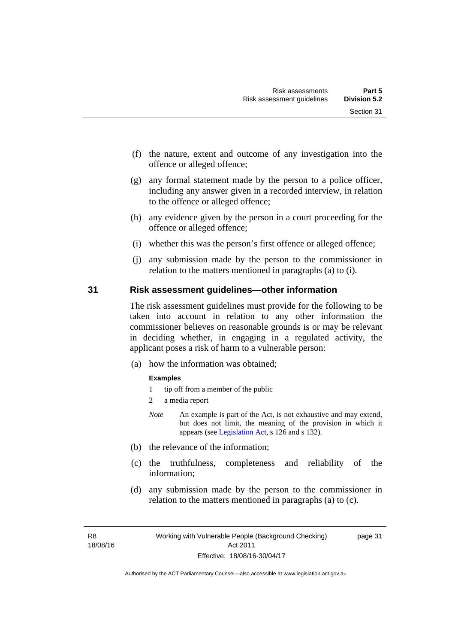- (f) the nature, extent and outcome of any investigation into the offence or alleged offence;
- (g) any formal statement made by the person to a police officer, including any answer given in a recorded interview, in relation to the offence or alleged offence;
- (h) any evidence given by the person in a court proceeding for the offence or alleged offence;
- (i) whether this was the person's first offence or alleged offence;
- (j) any submission made by the person to the commissioner in relation to the matters mentioned in paragraphs (a) to (i).

## **31 Risk assessment guidelines—other information**

The risk assessment guidelines must provide for the following to be taken into account in relation to any other information the commissioner believes on reasonable grounds is or may be relevant in deciding whether, in engaging in a regulated activity, the applicant poses a risk of harm to a vulnerable person:

(a) how the information was obtained;

#### **Examples**

- 1 tip off from a member of the public
- 2 a media report
- *Note* An example is part of the Act, is not exhaustive and may extend, but does not limit, the meaning of the provision in which it appears (see [Legislation Act,](http://www.legislation.act.gov.au/a/2001-14) s 126 and s 132).
- (b) the relevance of the information;
- (c) the truthfulness, completeness and reliability of the information;
- (d) any submission made by the person to the commissioner in relation to the matters mentioned in paragraphs (a) to (c).

R8 18/08/16 page 31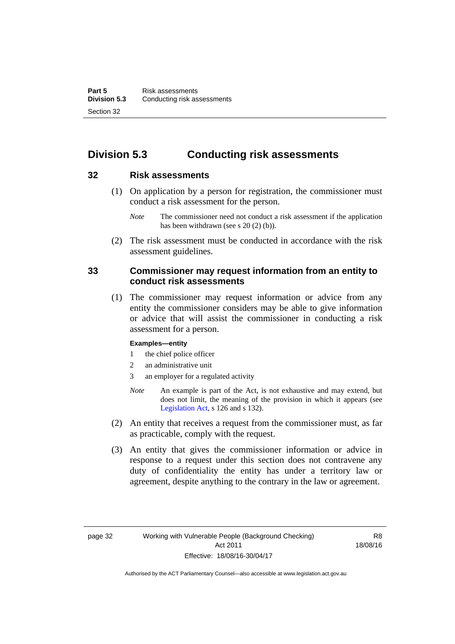# **Division 5.3 Conducting risk assessments**

# **32 Risk assessments**

 (1) On application by a person for registration, the commissioner must conduct a risk assessment for the person.

 (2) The risk assessment must be conducted in accordance with the risk assessment guidelines.

# **33 Commissioner may request information from an entity to conduct risk assessments**

(1) The commissioner may request information or advice from any entity the commissioner considers may be able to give information or advice that will assist the commissioner in conducting a risk assessment for a person.

#### **Examples—entity**

- 1 the chief police officer
- 2 an administrative unit
- 3 an employer for a regulated activity
- *Note* An example is part of the Act, is not exhaustive and may extend, but does not limit, the meaning of the provision in which it appears (see [Legislation Act,](http://www.legislation.act.gov.au/a/2001-14) s 126 and s 132).
- (2) An entity that receives a request from the commissioner must, as far as practicable, comply with the request.
- (3) An entity that gives the commissioner information or advice in response to a request under this section does not contravene any duty of confidentiality the entity has under a territory law or agreement, despite anything to the contrary in the law or agreement.

R8 18/08/16

*Note* The commissioner need not conduct a risk assessment if the application has been withdrawn (see s 20 (2) (b)).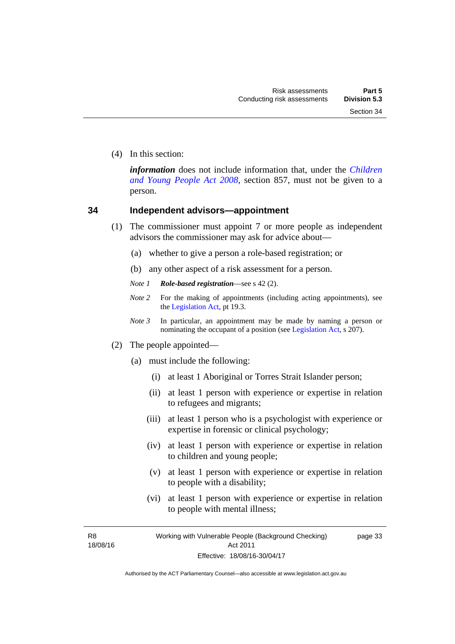(4) In this section:

*information* does not include information that, under the *[Children](http://www.legislation.act.gov.au/a/2008-19)  [and Young People Act 2008](http://www.legislation.act.gov.au/a/2008-19)*, section 857, must not be given to a person.

## **34 Independent advisors—appointment**

- (1) The commissioner must appoint 7 or more people as independent advisors the commissioner may ask for advice about—
	- (a) whether to give a person a role-based registration; or
	- (b) any other aspect of a risk assessment for a person.
	- *Note 1 Role-based registration*—see s 42 (2).
	- *Note* 2 For the making of appointments (including acting appointments), see the [Legislation Act,](http://www.legislation.act.gov.au/a/2001-14) pt 19.3.
	- *Note 3* In particular, an appointment may be made by naming a person or nominating the occupant of a position (see [Legislation Act](http://www.legislation.act.gov.au/a/2001-14), s 207).
- (2) The people appointed—
	- (a) must include the following:
		- (i) at least 1 Aboriginal or Torres Strait Islander person;
		- (ii) at least 1 person with experience or expertise in relation to refugees and migrants;
		- (iii) at least 1 person who is a psychologist with experience or expertise in forensic or clinical psychology;
		- (iv) at least 1 person with experience or expertise in relation to children and young people;
		- (v) at least 1 person with experience or expertise in relation to people with a disability;
		- (vi) at least 1 person with experience or expertise in relation to people with mental illness;

R8 18/08/16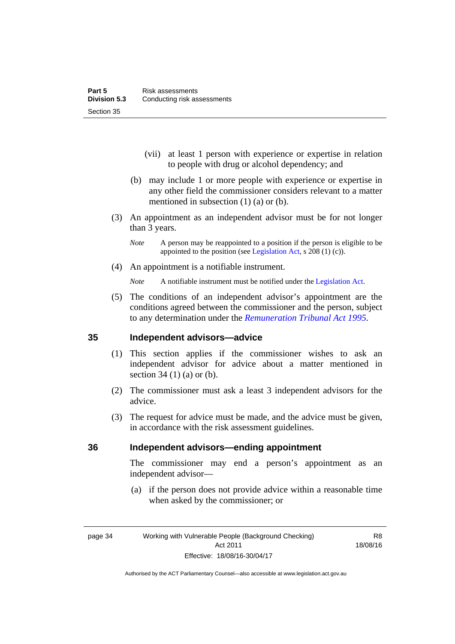- (vii) at least 1 person with experience or expertise in relation to people with drug or alcohol dependency; and
- (b) may include 1 or more people with experience or expertise in any other field the commissioner considers relevant to a matter mentioned in subsection (1) (a) or (b).
- (3) An appointment as an independent advisor must be for not longer than 3 years.
	- *Note* A person may be reappointed to a position if the person is eligible to be appointed to the position (see [Legislation Act](http://www.legislation.act.gov.au/a/2001-14), s 208 (1) (c)).
- (4) An appointment is a notifiable instrument.

*Note* A notifiable instrument must be notified under the [Legislation Act](http://www.legislation.act.gov.au/a/2001-14).

 (5) The conditions of an independent advisor's appointment are the conditions agreed between the commissioner and the person, subject to any determination under the *[Remuneration Tribunal Act 1995](http://www.legislation.act.gov.au/a/1995-55)*.

## **35 Independent advisors—advice**

- (1) This section applies if the commissioner wishes to ask an independent advisor for advice about a matter mentioned in section 34 (1) (a) or (b).
- (2) The commissioner must ask a least 3 independent advisors for the advice.
- (3) The request for advice must be made, and the advice must be given, in accordance with the risk assessment guidelines.

# **36 Independent advisors—ending appointment**

The commissioner may end a person's appointment as an independent advisor—

 (a) if the person does not provide advice within a reasonable time when asked by the commissioner; or

R8 18/08/16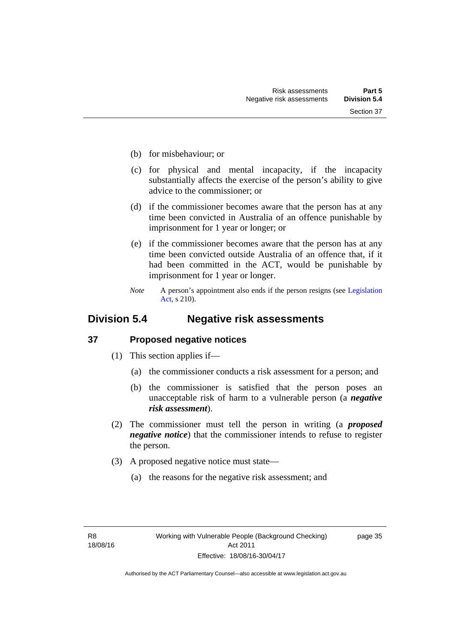- (b) for misbehaviour; or
- (c) for physical and mental incapacity, if the incapacity substantially affects the exercise of the person's ability to give advice to the commissioner; or
- (d) if the commissioner becomes aware that the person has at any time been convicted in Australia of an offence punishable by imprisonment for 1 year or longer; or
- (e) if the commissioner becomes aware that the person has at any time been convicted outside Australia of an offence that, if it had been committed in the ACT, would be punishable by imprisonment for 1 year or longer.
- *Note* A person's appointment also ends if the person resigns (see Legislation [Act](http://www.legislation.act.gov.au/a/2001-14), s 210).

# **Division 5.4 Negative risk assessments**

# **37 Proposed negative notices**

- (1) This section applies if—
	- (a) the commissioner conducts a risk assessment for a person; and
	- (b) the commissioner is satisfied that the person poses an unacceptable risk of harm to a vulnerable person (a *negative risk assessment*).
- (2) The commissioner must tell the person in writing (a *proposed negative notice*) that the commissioner intends to refuse to register the person.
- (3) A proposed negative notice must state—
	- (a) the reasons for the negative risk assessment; and

page 35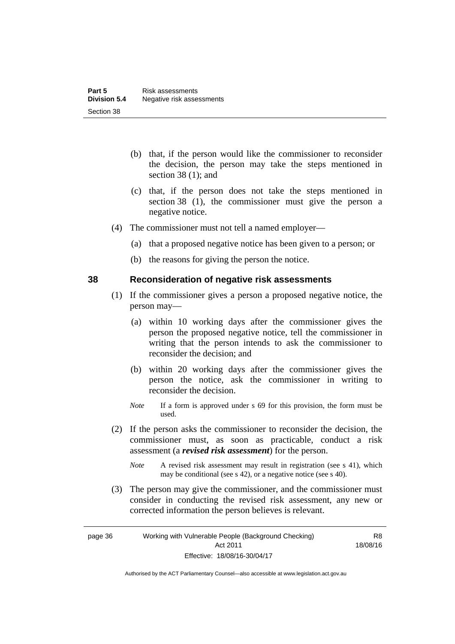- (b) that, if the person would like the commissioner to reconsider the decision, the person may take the steps mentioned in section 38 (1); and
- (c) that, if the person does not take the steps mentioned in section 38 (1), the commissioner must give the person a negative notice.
- (4) The commissioner must not tell a named employer—
	- (a) that a proposed negative notice has been given to a person; or
	- (b) the reasons for giving the person the notice.

# **38 Reconsideration of negative risk assessments**

- (1) If the commissioner gives a person a proposed negative notice, the person may—
	- (a) within 10 working days after the commissioner gives the person the proposed negative notice, tell the commissioner in writing that the person intends to ask the commissioner to reconsider the decision; and
	- (b) within 20 working days after the commissioner gives the person the notice, ask the commissioner in writing to reconsider the decision.
	- *Note* If a form is approved under s 69 for this provision, the form must be used.
- (2) If the person asks the commissioner to reconsider the decision, the commissioner must, as soon as practicable, conduct a risk assessment (a *revised risk assessment*) for the person.
	- *Note* A revised risk assessment may result in registration (see s 41), which may be conditional (see s 42), or a negative notice (see s 40).
- (3) The person may give the commissioner, and the commissioner must consider in conducting the revised risk assessment, any new or corrected information the person believes is relevant.

page 36 Working with Vulnerable People (Background Checking) Act 2011 Effective: 18/08/16-30/04/17

R8 18/08/16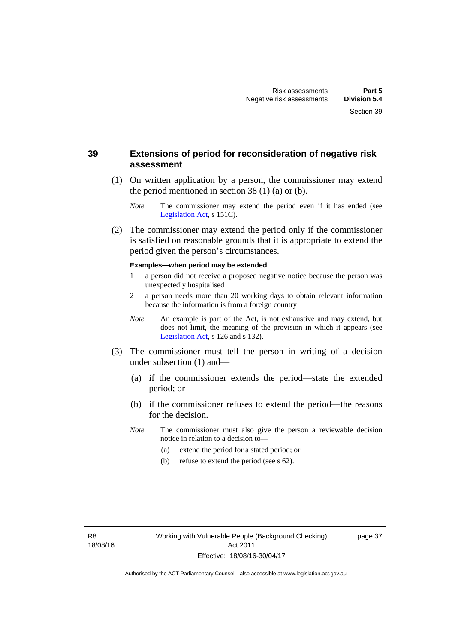# **39 Extensions of period for reconsideration of negative risk assessment**

- (1) On written application by a person, the commissioner may extend the period mentioned in section 38 (1) (a) or (b).
	- *Note* The commissioner may extend the period even if it has ended (see [Legislation Act,](http://www.legislation.act.gov.au/a/2001-14) s 151C).
- (2) The commissioner may extend the period only if the commissioner is satisfied on reasonable grounds that it is appropriate to extend the period given the person's circumstances.

#### **Examples—when period may be extended**

- 1 a person did not receive a proposed negative notice because the person was unexpectedly hospitalised
- 2 a person needs more than 20 working days to obtain relevant information because the information is from a foreign country
- *Note* An example is part of the Act, is not exhaustive and may extend, but does not limit, the meaning of the provision in which it appears (see [Legislation Act,](http://www.legislation.act.gov.au/a/2001-14) s 126 and s 132).
- (3) The commissioner must tell the person in writing of a decision under subsection (1) and—
	- (a) if the commissioner extends the period—state the extended period; or
	- (b) if the commissioner refuses to extend the period—the reasons for the decision.
	- *Note* The commissioner must also give the person a reviewable decision notice in relation to a decision to—
		- (a) extend the period for a stated period; or
		- (b) refuse to extend the period (see s 62).

page 37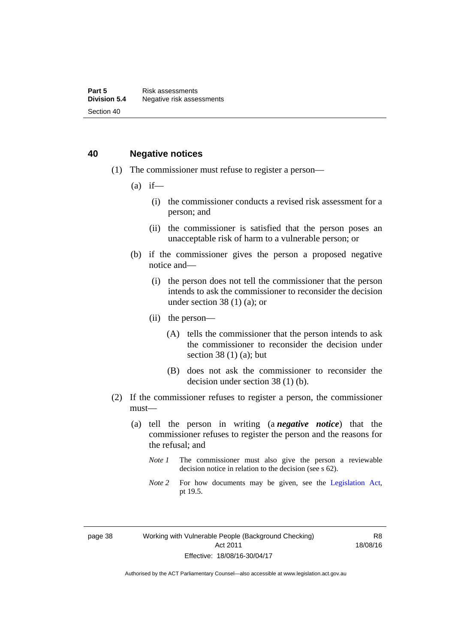# **40 Negative notices**

- (1) The commissioner must refuse to register a person—
	- $(a)$  if—
		- (i) the commissioner conducts a revised risk assessment for a person; and
		- (ii) the commissioner is satisfied that the person poses an unacceptable risk of harm to a vulnerable person; or
	- (b) if the commissioner gives the person a proposed negative notice and—
		- (i) the person does not tell the commissioner that the person intends to ask the commissioner to reconsider the decision under section  $38(1)(a)$ ; or
		- (ii) the person—
			- (A) tells the commissioner that the person intends to ask the commissioner to reconsider the decision under section 38 $(1)$  $(a)$ ; but
			- (B) does not ask the commissioner to reconsider the decision under section 38 (1) (b).
- (2) If the commissioner refuses to register a person, the commissioner must—
	- (a) tell the person in writing (a *negative notice*) that the commissioner refuses to register the person and the reasons for the refusal; and
		- *Note 1* The commissioner must also give the person a reviewable decision notice in relation to the decision (see s 62).
		- *Note* 2 For how documents may be given, see the [Legislation Act,](http://www.legislation.act.gov.au/a/2001-14) pt 19.5.

page 38 Working with Vulnerable People (Background Checking) Act 2011 Effective: 18/08/16-30/04/17

R8 18/08/16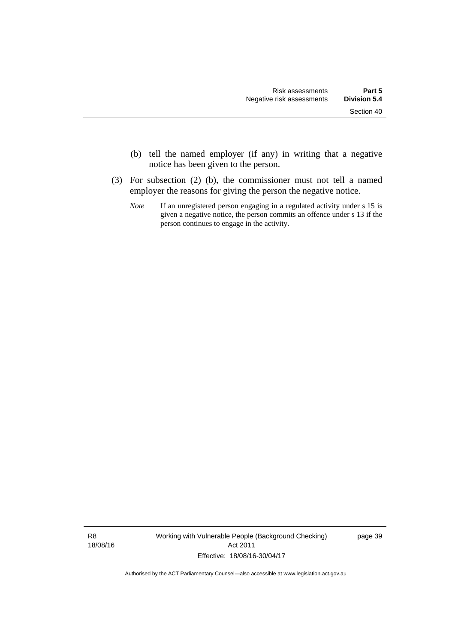- (b) tell the named employer (if any) in writing that a negative notice has been given to the person.
- (3) For subsection (2) (b), the commissioner must not tell a named employer the reasons for giving the person the negative notice.
	- *Note* If an unregistered person engaging in a regulated activity under s 15 is given a negative notice, the person commits an offence under s 13 if the person continues to engage in the activity.

R8 18/08/16 Working with Vulnerable People (Background Checking) Act 2011 Effective: 18/08/16-30/04/17

page 39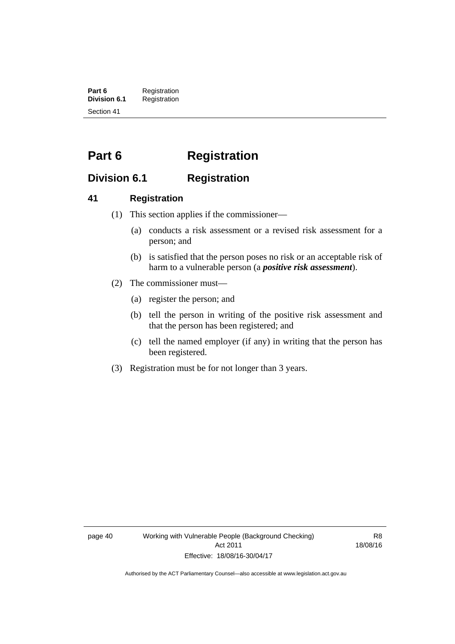**Part 6** Registration<br>**Division 6.1** Registration **Division 6.1** Registration Section 41

# **Part 6 Registration**

# **Division 6.1 Registration**

# **41 Registration**

- (1) This section applies if the commissioner—
	- (a) conducts a risk assessment or a revised risk assessment for a person; and
	- (b) is satisfied that the person poses no risk or an acceptable risk of harm to a vulnerable person (a *positive risk assessment*).
- (2) The commissioner must—
	- (a) register the person; and
	- (b) tell the person in writing of the positive risk assessment and that the person has been registered; and
	- (c) tell the named employer (if any) in writing that the person has been registered.
- (3) Registration must be for not longer than 3 years.

page 40 Working with Vulnerable People (Background Checking) Act 2011 Effective: 18/08/16-30/04/17

R8 18/08/16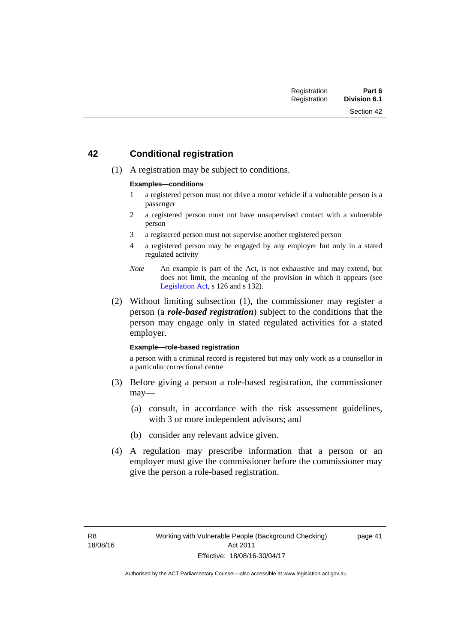# **42 Conditional registration**

(1) A registration may be subject to conditions.

### **Examples—conditions**

- 1 a registered person must not drive a motor vehicle if a vulnerable person is a passenger
- 2 a registered person must not have unsupervised contact with a vulnerable person
- 3 a registered person must not supervise another registered person
- 4 a registered person may be engaged by any employer but only in a stated regulated activity
- *Note* An example is part of the Act, is not exhaustive and may extend, but does not limit, the meaning of the provision in which it appears (see [Legislation Act,](http://www.legislation.act.gov.au/a/2001-14) s 126 and s 132).
- (2) Without limiting subsection (1), the commissioner may register a person (a *role-based registration*) subject to the conditions that the person may engage only in stated regulated activities for a stated employer.

#### **Example—role-based registration**

a person with a criminal record is registered but may only work as a counsellor in a particular correctional centre

- (3) Before giving a person a role-based registration, the commissioner may—
	- (a) consult, in accordance with the risk assessment guidelines, with 3 or more independent advisors; and
	- (b) consider any relevant advice given.
- (4) A regulation may prescribe information that a person or an employer must give the commissioner before the commissioner may give the person a role-based registration.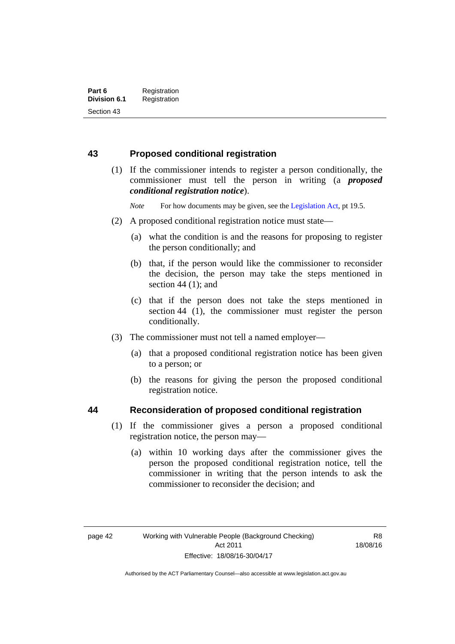# **43 Proposed conditional registration**

 (1) If the commissioner intends to register a person conditionally, the commissioner must tell the person in writing (a *proposed conditional registration notice*).

*Note* For how documents may be given, see the [Legislation Act,](http://www.legislation.act.gov.au/a/2001-14) pt 19.5.

- (2) A proposed conditional registration notice must state—
	- (a) what the condition is and the reasons for proposing to register the person conditionally; and
	- (b) that, if the person would like the commissioner to reconsider the decision, the person may take the steps mentioned in section  $44$  (1); and
	- (c) that if the person does not take the steps mentioned in section 44 (1), the commissioner must register the person conditionally.
- (3) The commissioner must not tell a named employer—
	- (a) that a proposed conditional registration notice has been given to a person; or
	- (b) the reasons for giving the person the proposed conditional registration notice.

# **44 Reconsideration of proposed conditional registration**

- (1) If the commissioner gives a person a proposed conditional registration notice, the person may—
	- (a) within 10 working days after the commissioner gives the person the proposed conditional registration notice, tell the commissioner in writing that the person intends to ask the commissioner to reconsider the decision; and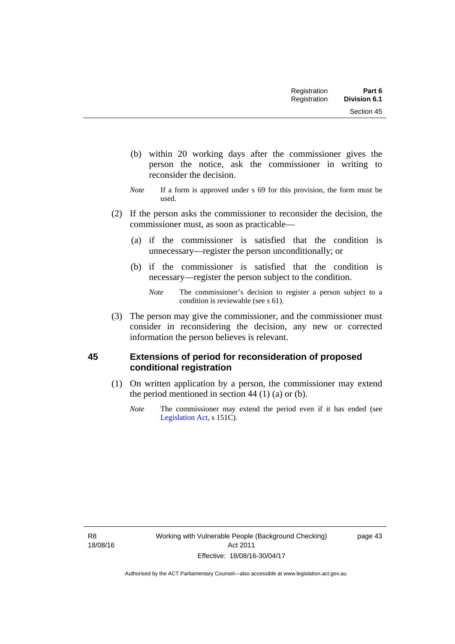| Registration | Part 6              |
|--------------|---------------------|
| Registration | <b>Division 6.1</b> |

Section 45

- (b) within 20 working days after the commissioner gives the person the notice, ask the commissioner in writing to reconsider the decision.
- *Note* If a form is approved under s 69 for this provision, the form must be used.
- (2) If the person asks the commissioner to reconsider the decision, the commissioner must, as soon as practicable—
	- (a) if the commissioner is satisfied that the condition is unnecessary—register the person unconditionally; or
	- (b) if the commissioner is satisfied that the condition is necessary—register the person subject to the condition.

 (3) The person may give the commissioner, and the commissioner must consider in reconsidering the decision, any new or corrected information the person believes is relevant.

# **45 Extensions of period for reconsideration of proposed conditional registration**

- (1) On written application by a person, the commissioner may extend the period mentioned in section  $44$  (1) (a) or (b).
	- *Note* The commissioner may extend the period even if it has ended (see [Legislation Act,](http://www.legislation.act.gov.au/a/2001-14) s 151C).

R8 18/08/16 page 43

*Note* The commissioner's decision to register a person subject to a condition is reviewable (see s 61).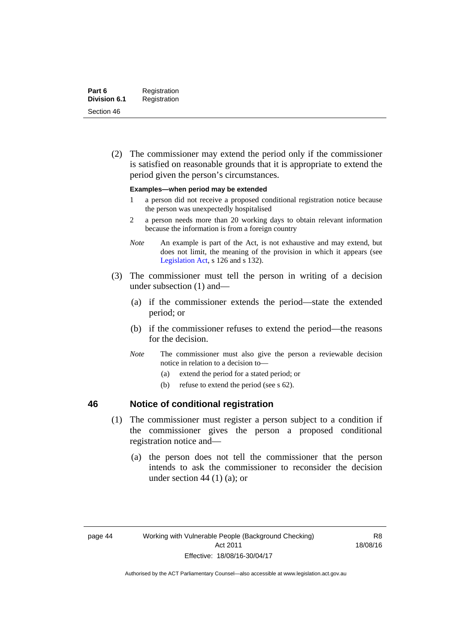(2) The commissioner may extend the period only if the commissioner is satisfied on reasonable grounds that it is appropriate to extend the period given the person's circumstances.

#### **Examples—when period may be extended**

- 1 a person did not receive a proposed conditional registration notice because the person was unexpectedly hospitalised
- 2 a person needs more than 20 working days to obtain relevant information because the information is from a foreign country
- *Note* An example is part of the Act, is not exhaustive and may extend, but does not limit, the meaning of the provision in which it appears (see [Legislation Act,](http://www.legislation.act.gov.au/a/2001-14) s 126 and s 132).
- (3) The commissioner must tell the person in writing of a decision under subsection (1) and—
	- (a) if the commissioner extends the period—state the extended period; or
	- (b) if the commissioner refuses to extend the period—the reasons for the decision.
	- *Note* The commissioner must also give the person a reviewable decision notice in relation to a decision to—
		- (a) extend the period for a stated period; or
		- (b) refuse to extend the period (see s 62).

# **46 Notice of conditional registration**

- (1) The commissioner must register a person subject to a condition if the commissioner gives the person a proposed conditional registration notice and—
	- (a) the person does not tell the commissioner that the person intends to ask the commissioner to reconsider the decision under section 44  $(1)$   $(a)$ ; or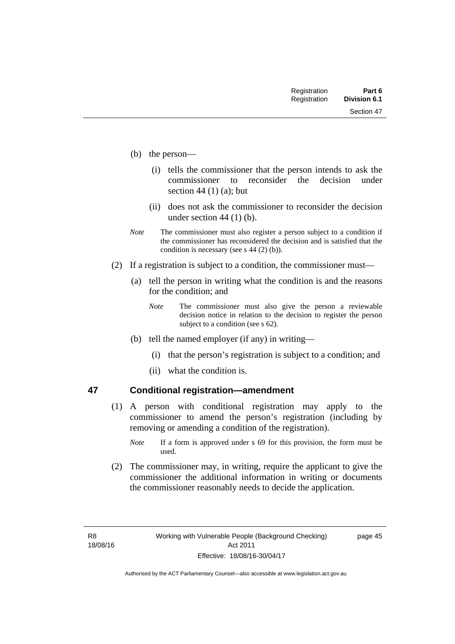Section 47

- (b) the person—
	- (i) tells the commissioner that the person intends to ask the commissioner to reconsider the decision under section 44 $(1)$  $(a)$ ; but
	- (ii) does not ask the commissioner to reconsider the decision under section 44 (1) (b).
- *Note* The commissioner must also register a person subject to a condition if the commissioner has reconsidered the decision and is satisfied that the condition is necessary (see s 44 (2) (b)).
- (2) If a registration is subject to a condition, the commissioner must—
	- (a) tell the person in writing what the condition is and the reasons for the condition; and
		- *Note* The commissioner must also give the person a reviewable decision notice in relation to the decision to register the person subject to a condition (see s 62).
	- (b) tell the named employer (if any) in writing—
		- (i) that the person's registration is subject to a condition; and
		- (ii) what the condition is.

# **47 Conditional registration—amendment**

- (1) A person with conditional registration may apply to the commissioner to amend the person's registration (including by removing or amending a condition of the registration).
	- *Note* If a form is approved under s 69 for this provision, the form must be used.
- (2) The commissioner may, in writing, require the applicant to give the commissioner the additional information in writing or documents the commissioner reasonably needs to decide the application.

page 45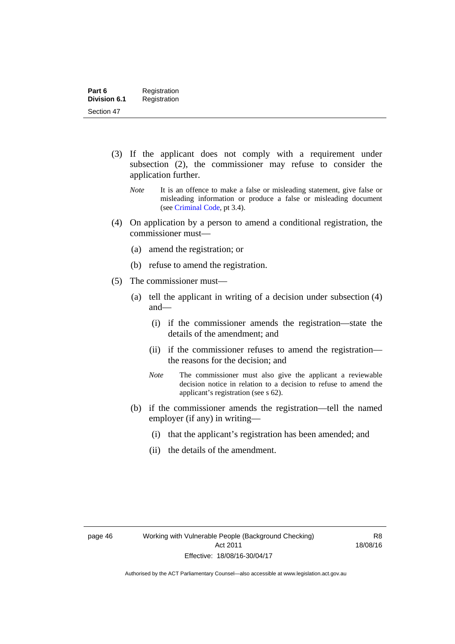- (3) If the applicant does not comply with a requirement under subsection (2), the commissioner may refuse to consider the application further.
	- *Note* It is an offence to make a false or misleading statement, give false or misleading information or produce a false or misleading document (see [Criminal Code,](http://www.legislation.act.gov.au/a/2002-51/default.asp) pt 3.4).
- (4) On application by a person to amend a conditional registration, the commissioner must—
	- (a) amend the registration; or
	- (b) refuse to amend the registration.
- (5) The commissioner must—
	- (a) tell the applicant in writing of a decision under subsection (4) and—
		- (i) if the commissioner amends the registration—state the details of the amendment; and
		- (ii) if the commissioner refuses to amend the registration the reasons for the decision; and
		- *Note* The commissioner must also give the applicant a reviewable decision notice in relation to a decision to refuse to amend the applicant's registration (see s 62).
	- (b) if the commissioner amends the registration—tell the named employer (if any) in writing—
		- (i) that the applicant's registration has been amended; and
		- (ii) the details of the amendment.

R8 18/08/16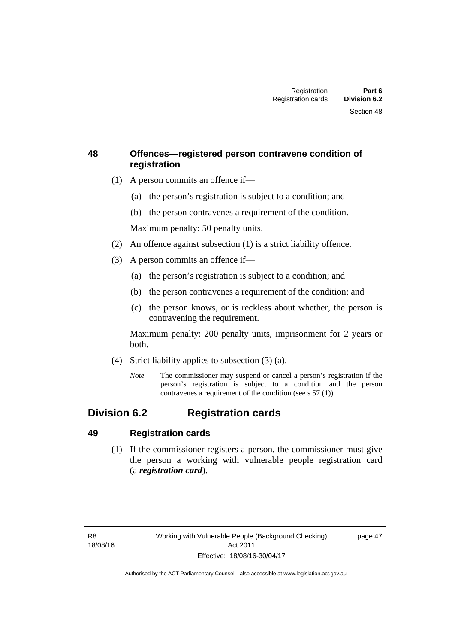# **48 Offences—registered person contravene condition of registration**

- (1) A person commits an offence if—
	- (a) the person's registration is subject to a condition; and
	- (b) the person contravenes a requirement of the condition.

Maximum penalty: 50 penalty units.

- (2) An offence against subsection (1) is a strict liability offence.
- (3) A person commits an offence if—
	- (a) the person's registration is subject to a condition; and
	- (b) the person contravenes a requirement of the condition; and
	- (c) the person knows, or is reckless about whether, the person is contravening the requirement.

Maximum penalty: 200 penalty units, imprisonment for 2 years or both.

- (4) Strict liability applies to subsection (3) (a).
	- *Note* The commissioner may suspend or cancel a person's registration if the person's registration is subject to a condition and the person contravenes a requirement of the condition (see s 57 (1)).

# **Division 6.2 Registration cards**

# **49 Registration cards**

 (1) If the commissioner registers a person, the commissioner must give the person a working with vulnerable people registration card (a *registration card*).

page 47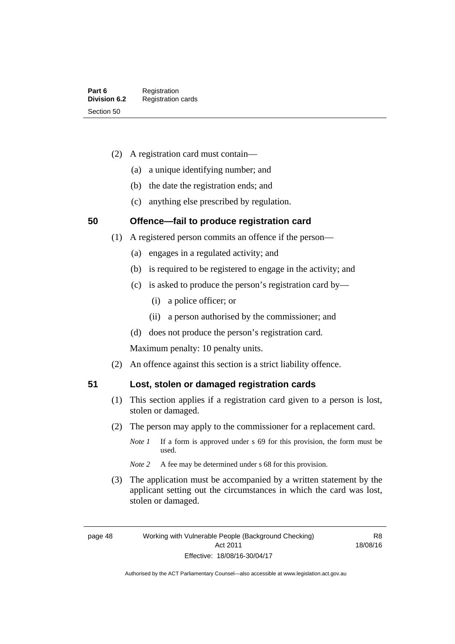- (2) A registration card must contain—
	- (a) a unique identifying number; and
	- (b) the date the registration ends; and
	- (c) anything else prescribed by regulation.

# **50 Offence—fail to produce registration card**

- (1) A registered person commits an offence if the person—
	- (a) engages in a regulated activity; and
	- (b) is required to be registered to engage in the activity; and
	- (c) is asked to produce the person's registration card by—
		- (i) a police officer; or
		- (ii) a person authorised by the commissioner; and
	- (d) does not produce the person's registration card.

Maximum penalty: 10 penalty units.

(2) An offence against this section is a strict liability offence.

# **51 Lost, stolen or damaged registration cards**

- (1) This section applies if a registration card given to a person is lost, stolen or damaged.
- (2) The person may apply to the commissioner for a replacement card.
	- *Note 1* If a form is approved under s 69 for this provision, the form must be used.
	- *Note* 2 A fee may be determined under s 68 for this provision.
- (3) The application must be accompanied by a written statement by the applicant setting out the circumstances in which the card was lost, stolen or damaged.

R8 18/08/16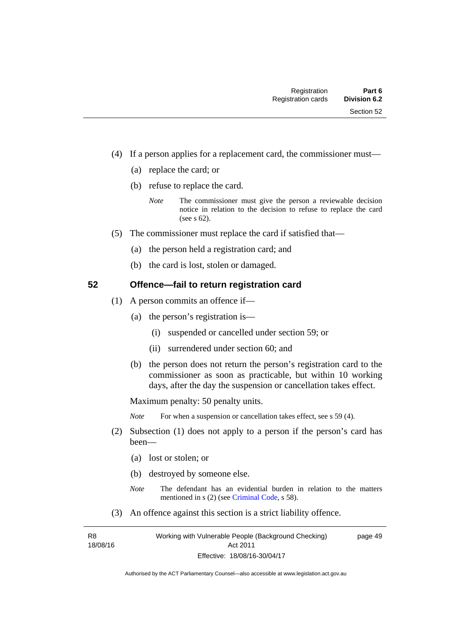- (4) If a person applies for a replacement card, the commissioner must—
	- (a) replace the card; or
	- (b) refuse to replace the card.
		- *Note* The commissioner must give the person a reviewable decision notice in relation to the decision to refuse to replace the card (see s 62).
- (5) The commissioner must replace the card if satisfied that—
	- (a) the person held a registration card; and
	- (b) the card is lost, stolen or damaged.

# **52 Offence—fail to return registration card**

- (1) A person commits an offence if—
	- (a) the person's registration is—
		- (i) suspended or cancelled under section 59; or
		- (ii) surrendered under section 60; and
	- (b) the person does not return the person's registration card to the commissioner as soon as practicable, but within 10 working days, after the day the suspension or cancellation takes effect.

Maximum penalty: 50 penalty units.

*Note* For when a suspension or cancellation takes effect, see s 59 (4).

- (2) Subsection (1) does not apply to a person if the person's card has been—
	- (a) lost or stolen; or
	- (b) destroyed by someone else.
	- *Note* The defendant has an evidential burden in relation to the matters mentioned in s (2) (see [Criminal Code](http://www.legislation.act.gov.au/a/2002-51/default.asp), s 58).
- (3) An offence against this section is a strict liability offence.

R8 18/08/16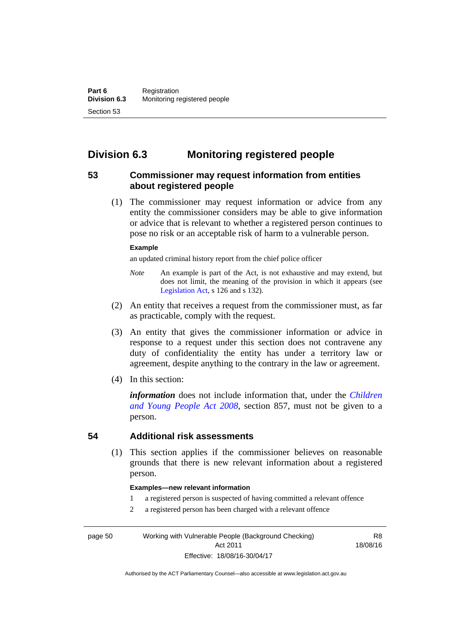# **Division 6.3 Monitoring registered people**

# **53 Commissioner may request information from entities about registered people**

 (1) The commissioner may request information or advice from any entity the commissioner considers may be able to give information or advice that is relevant to whether a registered person continues to pose no risk or an acceptable risk of harm to a vulnerable person.

#### **Example**

an updated criminal history report from the chief police officer

- *Note* An example is part of the Act, is not exhaustive and may extend, but does not limit, the meaning of the provision in which it appears (see [Legislation Act,](http://www.legislation.act.gov.au/a/2001-14) s 126 and s 132).
- (2) An entity that receives a request from the commissioner must, as far as practicable, comply with the request.
- (3) An entity that gives the commissioner information or advice in response to a request under this section does not contravene any duty of confidentiality the entity has under a territory law or agreement, despite anything to the contrary in the law or agreement.
- (4) In this section:

*information* does not include information that, under the *[Children](http://www.legislation.act.gov.au/a/2008-19)  [and Young People Act 2008](http://www.legislation.act.gov.au/a/2008-19)*, section 857, must not be given to a person.

# **54 Additional risk assessments**

(1) This section applies if the commissioner believes on reasonable grounds that there is new relevant information about a registered person.

#### **Examples—new relevant information**

- 1 a registered person is suspected of having committed a relevant offence
- 2 a registered person has been charged with a relevant offence

page 50 Working with Vulnerable People (Background Checking) Act 2011 Effective: 18/08/16-30/04/17

R8 18/08/16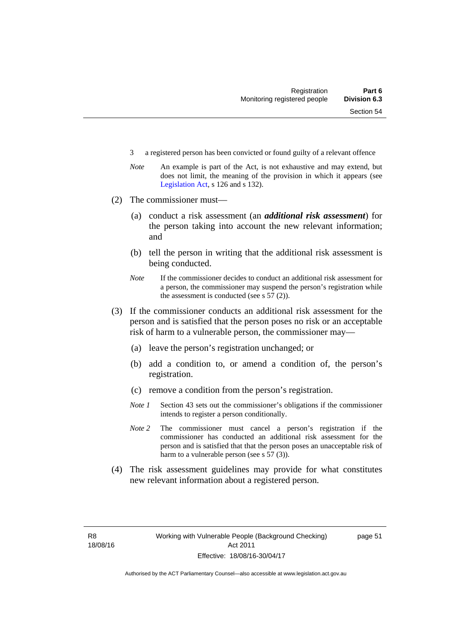- 3 a registered person has been convicted or found guilty of a relevant offence
- *Note* An example is part of the Act, is not exhaustive and may extend, but does not limit, the meaning of the provision in which it appears (see [Legislation Act,](http://www.legislation.act.gov.au/a/2001-14) s 126 and s 132).
- (2) The commissioner must—
	- (a) conduct a risk assessment (an *additional risk assessment*) for the person taking into account the new relevant information; and
	- (b) tell the person in writing that the additional risk assessment is being conducted.
	- *Note* If the commissioner decides to conduct an additional risk assessment for a person, the commissioner may suspend the person's registration while the assessment is conducted (see s 57 (2)).
- (3) If the commissioner conducts an additional risk assessment for the person and is satisfied that the person poses no risk or an acceptable risk of harm to a vulnerable person, the commissioner may—
	- (a) leave the person's registration unchanged; or
	- (b) add a condition to, or amend a condition of, the person's registration.
	- (c) remove a condition from the person's registration.
	- *Note 1* Section 43 sets out the commissioner's obligations if the commissioner intends to register a person conditionally.
	- *Note 2* The commissioner must cancel a person's registration if the commissioner has conducted an additional risk assessment for the person and is satisfied that that the person poses an unacceptable risk of harm to a vulnerable person (see s 57 (3)).
- (4) The risk assessment guidelines may provide for what constitutes new relevant information about a registered person.

R8 18/08/16 page 51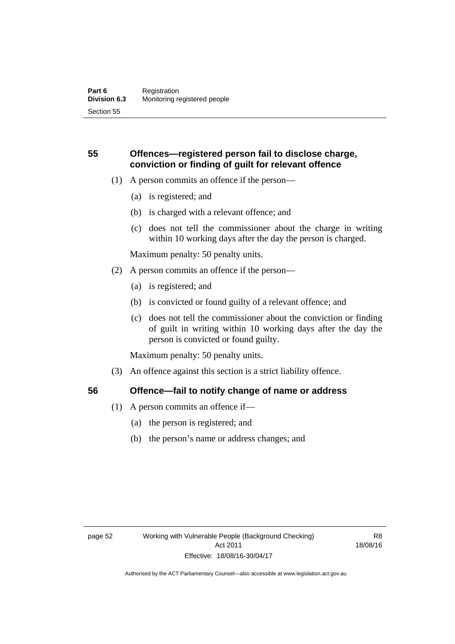# **55 Offences—registered person fail to disclose charge, conviction or finding of guilt for relevant offence**

- (1) A person commits an offence if the person—
	- (a) is registered; and
	- (b) is charged with a relevant offence; and
	- (c) does not tell the commissioner about the charge in writing within 10 working days after the day the person is charged.

Maximum penalty: 50 penalty units.

- (2) A person commits an offence if the person—
	- (a) is registered; and
	- (b) is convicted or found guilty of a relevant offence; and
	- (c) does not tell the commissioner about the conviction or finding of guilt in writing within 10 working days after the day the person is convicted or found guilty.

Maximum penalty: 50 penalty units.

(3) An offence against this section is a strict liability offence.

# **56 Offence—fail to notify change of name or address**

- (1) A person commits an offence if—
	- (a) the person is registered; and
	- (b) the person's name or address changes; and

R8 18/08/16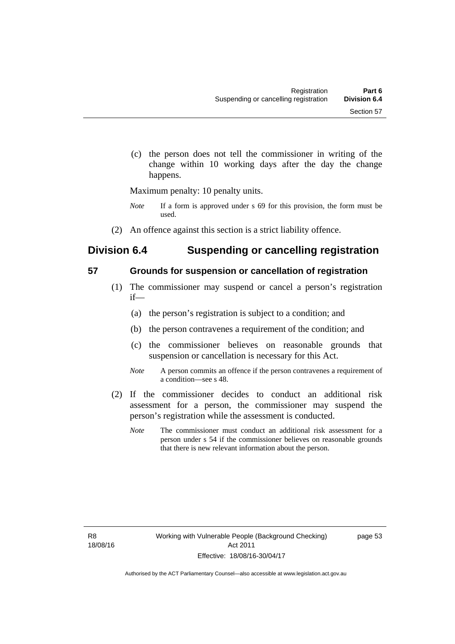(c) the person does not tell the commissioner in writing of the change within 10 working days after the day the change happens.

Maximum penalty: 10 penalty units.

- *Note* If a form is approved under s 69 for this provision, the form must be used.
- (2) An offence against this section is a strict liability offence.

# **Division 6.4 Suspending or cancelling registration**

# **57 Grounds for suspension or cancellation of registration**

- (1) The commissioner may suspend or cancel a person's registration if—
	- (a) the person's registration is subject to a condition; and
	- (b) the person contravenes a requirement of the condition; and
	- (c) the commissioner believes on reasonable grounds that suspension or cancellation is necessary for this Act.
	- *Note* A person commits an offence if the person contravenes a requirement of a condition—see s 48.
- (2) If the commissioner decides to conduct an additional risk assessment for a person, the commissioner may suspend the person's registration while the assessment is conducted.
	- *Note* The commissioner must conduct an additional risk assessment for a person under s 54 if the commissioner believes on reasonable grounds that there is new relevant information about the person.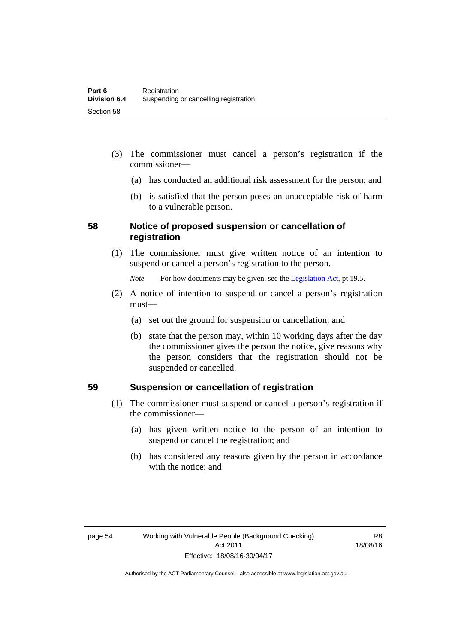- (3) The commissioner must cancel a person's registration if the commissioner—
	- (a) has conducted an additional risk assessment for the person; and
	- (b) is satisfied that the person poses an unacceptable risk of harm to a vulnerable person.

# **58 Notice of proposed suspension or cancellation of registration**

 (1) The commissioner must give written notice of an intention to suspend or cancel a person's registration to the person.

*Note* For how documents may be given, see the [Legislation Act,](http://www.legislation.act.gov.au/a/2001-14) pt 19.5.

- (2) A notice of intention to suspend or cancel a person's registration must—
	- (a) set out the ground for suspension or cancellation; and
	- (b) state that the person may, within 10 working days after the day the commissioner gives the person the notice, give reasons why the person considers that the registration should not be suspended or cancelled.

# **59 Suspension or cancellation of registration**

- (1) The commissioner must suspend or cancel a person's registration if the commissioner—
	- (a) has given written notice to the person of an intention to suspend or cancel the registration; and
	- (b) has considered any reasons given by the person in accordance with the notice; and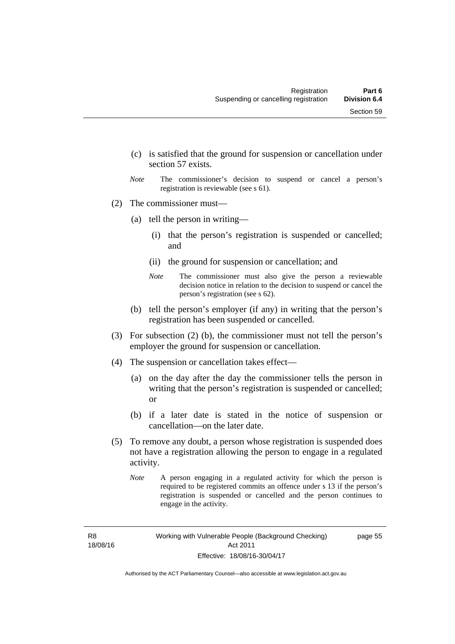- (c) is satisfied that the ground for suspension or cancellation under section 57 exists.
- *Note* The commissioner's decision to suspend or cancel a person's registration is reviewable (see s 61).
- (2) The commissioner must—
	- (a) tell the person in writing—
		- (i) that the person's registration is suspended or cancelled; and
		- (ii) the ground for suspension or cancellation; and
		- *Note* The commissioner must also give the person a reviewable decision notice in relation to the decision to suspend or cancel the person's registration (see s 62).
	- (b) tell the person's employer (if any) in writing that the person's registration has been suspended or cancelled.
- (3) For subsection (2) (b), the commissioner must not tell the person's employer the ground for suspension or cancellation.
- (4) The suspension or cancellation takes effect—
	- (a) on the day after the day the commissioner tells the person in writing that the person's registration is suspended or cancelled; or
	- (b) if a later date is stated in the notice of suspension or cancellation—on the later date.
- (5) To remove any doubt, a person whose registration is suspended does not have a registration allowing the person to engage in a regulated activity.
	- *Note* A person engaging in a regulated activity for which the person is required to be registered commits an offence under s 13 if the person's registration is suspended or cancelled and the person continues to engage in the activity.

page 55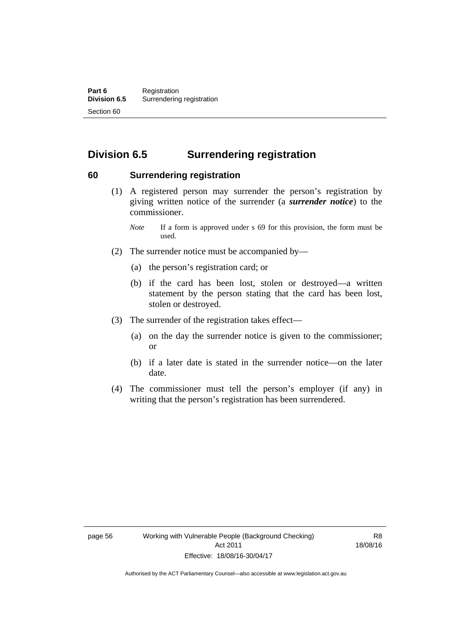# **Division 6.5 Surrendering registration**

# **60 Surrendering registration**

- (1) A registered person may surrender the person's registration by giving written notice of the surrender (a *surrender notice*) to the commissioner.
	- *Note* If a form is approved under s 69 for this provision, the form must be used.
- (2) The surrender notice must be accompanied by—
	- (a) the person's registration card; or
	- (b) if the card has been lost, stolen or destroyed—a written statement by the person stating that the card has been lost, stolen or destroyed.
- (3) The surrender of the registration takes effect—
	- (a) on the day the surrender notice is given to the commissioner; or
	- (b) if a later date is stated in the surrender notice—on the later date.
- (4) The commissioner must tell the person's employer (if any) in writing that the person's registration has been surrendered.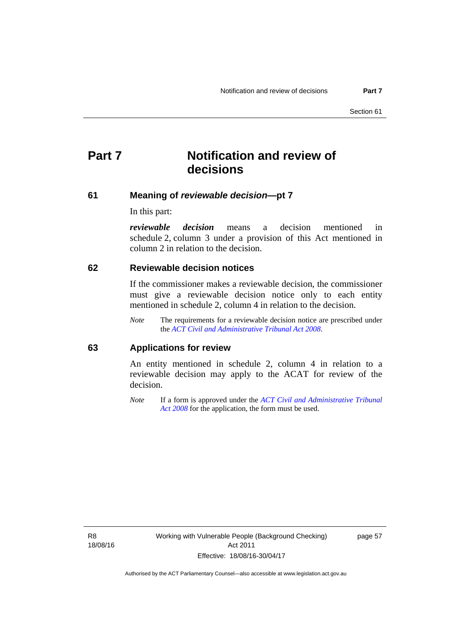# **Part 7 Notification and review of decisions**

## **61 Meaning of** *reviewable decision***—pt 7**

In this part:

*reviewable decision* means a decision mentioned in schedule 2, column 3 under a provision of this Act mentioned in column 2 in relation to the decision.

## **62 Reviewable decision notices**

If the commissioner makes a reviewable decision, the commissioner must give a reviewable decision notice only to each entity mentioned in schedule 2, column 4 in relation to the decision.

*Note* The requirements for a reviewable decision notice are prescribed under the *[ACT Civil and Administrative Tribunal Act 2008](http://www.legislation.act.gov.au/a/2008-35)*.

# **63 Applications for review**

An entity mentioned in schedule 2, column 4 in relation to a reviewable decision may apply to the ACAT for review of the decision.

*Note* If a form is approved under the *[ACT Civil and Administrative Tribunal](http://www.legislation.act.gov.au/a/2008-35)  [Act 2008](http://www.legislation.act.gov.au/a/2008-35)* for the application, the form must be used.

R8 18/08/16 page 57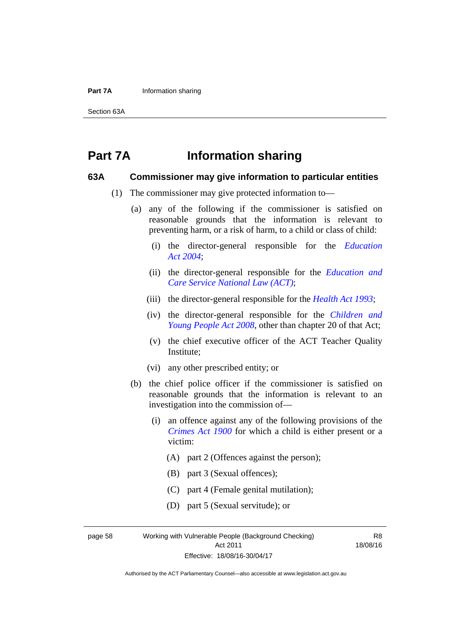#### **Part 7A** Information sharing

Section 63A

# **Part 7A Information sharing**

# **63A Commissioner may give information to particular entities**

- (1) The commissioner may give protected information to—
	- (a) any of the following if the commissioner is satisfied on reasonable grounds that the information is relevant to preventing harm, or a risk of harm, to a child or class of child:
		- (i) the director-general responsible for the *[Education](http://www.legislation.act.gov.au/a/2004-17)  [Act 2004](http://www.legislation.act.gov.au/a/2004-17)*;
		- (ii) the director-general responsible for the *[Education and](http://www.legislation.act.gov.au/a/2011-42/default.asp)  [Care Service National Law \(ACT\)](http://www.legislation.act.gov.au/a/2011-42/default.asp)*;
		- (iii) the director-general responsible for the *[Health Act 1993](http://www.legislation.act.gov.au/a/1993-13)*;
		- (iv) the director-general responsible for the *[Children and](http://www.legislation.act.gov.au/a/2008-19)  [Young People Act 2008](http://www.legislation.act.gov.au/a/2008-19)*, other than chapter 20 of that Act;
		- (v) the chief executive officer of the ACT Teacher Quality Institute;
		- (vi) any other prescribed entity; or
	- (b) the chief police officer if the commissioner is satisfied on reasonable grounds that the information is relevant to an investigation into the commission of—
		- (i) an offence against any of the following provisions of the *[Crimes Act 1900](http://www.legislation.act.gov.au/a/1900-40)* for which a child is either present or a victim:
			- (A) part 2 (Offences against the person);
			- (B) part 3 (Sexual offences);
			- (C) part 4 (Female genital mutilation);
			- (D) part 5 (Sexual servitude); or

page 58 Working with Vulnerable People (Background Checking) Act 2011 Effective: 18/08/16-30/04/17

R8 18/08/16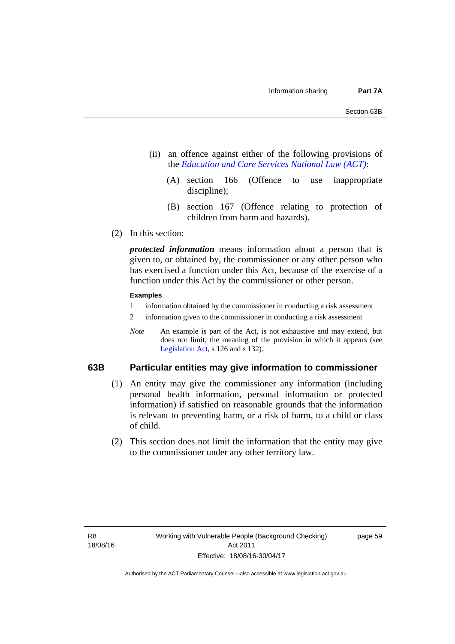- (ii) an offence against either of the following provisions of the *[Education and Care Services National Law \(ACT\)](http://www.legislation.act.gov.au/a/2011-42/default.asp)*:
	- (A) section 166 (Offence to use inappropriate discipline);
	- (B) section 167 (Offence relating to protection of children from harm and hazards).
- (2) In this section:

*protected information* means information about a person that is given to, or obtained by, the commissioner or any other person who has exercised a function under this Act, because of the exercise of a function under this Act by the commissioner or other person.

#### **Examples**

- 1 information obtained by the commissioner in conducting a risk assessment
- 2 information given to the commissioner in conducting a risk assessment
- *Note* An example is part of the Act, is not exhaustive and may extend, but does not limit, the meaning of the provision in which it appears (see [Legislation Act,](http://www.legislation.act.gov.au/a/2001-14) s 126 and s 132).

# **63B Particular entities may give information to commissioner**

- (1) An entity may give the commissioner any information (including personal health information, personal information or protected information) if satisfied on reasonable grounds that the information is relevant to preventing harm, or a risk of harm, to a child or class of child.
- (2) This section does not limit the information that the entity may give to the commissioner under any other territory law.

page 59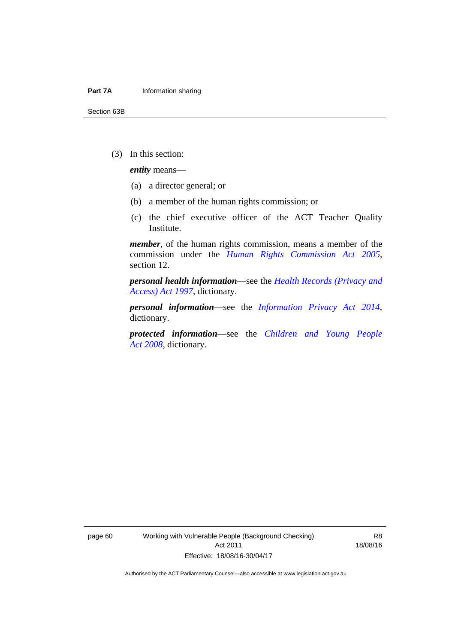(3) In this section:

*entity* means—

- (a) a director general; or
- (b) a member of the human rights commission; or
- (c) the chief executive officer of the ACT Teacher Quality Institute.

*member*, of the human rights commission, means a member of the commission under the *[Human Rights Commission Act 2005](http://www.legislation.act.gov.au/a/2005-40)*, section 12.

*personal health information*—see the *[Health Records \(Privacy and](http://www.legislation.act.gov.au/a/1997-125)  [Access\) Act 1997](http://www.legislation.act.gov.au/a/1997-125)*, dictionary.

*personal information*—see the *[Information Privacy Act 2014](http://www.legislation.act.gov.au/a/2014-24)*, dictionary.

*protected information*—see the *[Children and Young People](http://www.legislation.act.gov.au/a/2008-19)  [Act 2008](http://www.legislation.act.gov.au/a/2008-19)*, dictionary.

page 60 Working with Vulnerable People (Background Checking) Act 2011 Effective: 18/08/16-30/04/17

R8 18/08/16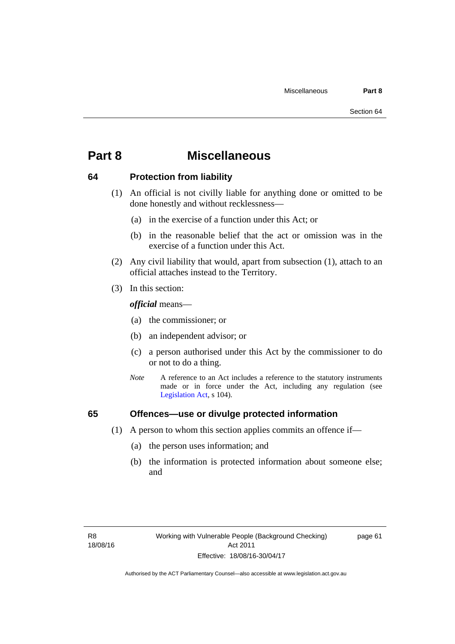# **Part 8 Miscellaneous**

# **64 Protection from liability**

- (1) An official is not civilly liable for anything done or omitted to be done honestly and without recklessness—
	- (a) in the exercise of a function under this Act; or
	- (b) in the reasonable belief that the act or omission was in the exercise of a function under this Act.
- (2) Any civil liability that would, apart from subsection (1), attach to an official attaches instead to the Territory.
- (3) In this section:

*official* means—

- (a) the commissioner; or
- (b) an independent advisor; or
- (c) a person authorised under this Act by the commissioner to do or not to do a thing.
- *Note* A reference to an Act includes a reference to the statutory instruments made or in force under the Act, including any regulation (see [Legislation Act,](http://www.legislation.act.gov.au/a/2001-14) s 104).

# **65 Offences—use or divulge protected information**

- (1) A person to whom this section applies commits an offence if—
	- (a) the person uses information; and
	- (b) the information is protected information about someone else; and

page 61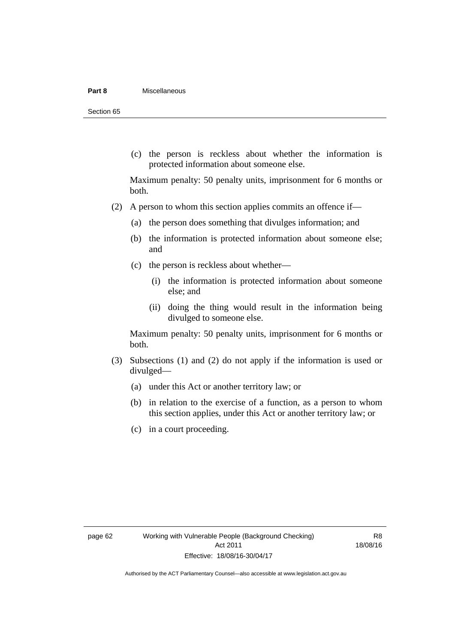#### **Part 8** Miscellaneous

Section 65

 (c) the person is reckless about whether the information is protected information about someone else.

Maximum penalty: 50 penalty units, imprisonment for 6 months or both.

- (2) A person to whom this section applies commits an offence if—
	- (a) the person does something that divulges information; and
	- (b) the information is protected information about someone else; and
	- (c) the person is reckless about whether—
		- (i) the information is protected information about someone else; and
		- (ii) doing the thing would result in the information being divulged to someone else.

Maximum penalty: 50 penalty units, imprisonment for 6 months or both.

- (3) Subsections (1) and (2) do not apply if the information is used or divulged—
	- (a) under this Act or another territory law; or
	- (b) in relation to the exercise of a function, as a person to whom this section applies, under this Act or another territory law; or
	- (c) in a court proceeding.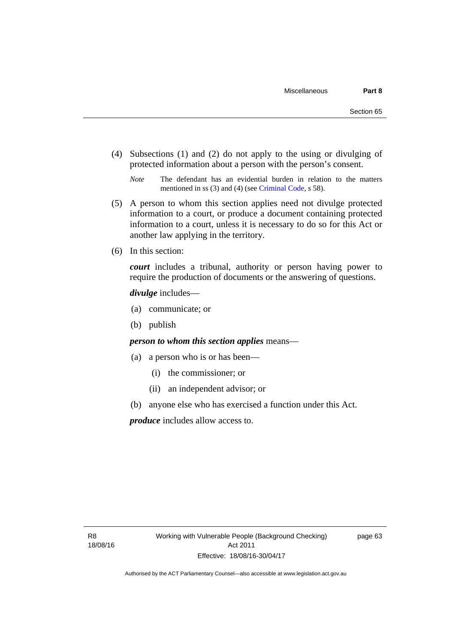(4) Subsections (1) and (2) do not apply to the using or divulging of protected information about a person with the person's consent.

*Note* The defendant has an evidential burden in relation to the matters mentioned in ss (3) and (4) (see [Criminal Code](http://www.legislation.act.gov.au/a/2002-51/default.asp), s 58).

- (5) A person to whom this section applies need not divulge protected information to a court, or produce a document containing protected information to a court, unless it is necessary to do so for this Act or another law applying in the territory.
- (6) In this section:

*court* includes a tribunal, authority or person having power to require the production of documents or the answering of questions.

### *divulge* includes—

- (a) communicate; or
- (b) publish

# *person to whom this section applies* means—

- (a) a person who is or has been—
	- (i) the commissioner; or
	- (ii) an independent advisor; or
- (b) anyone else who has exercised a function under this Act.

*produce* includes allow access to.

page 63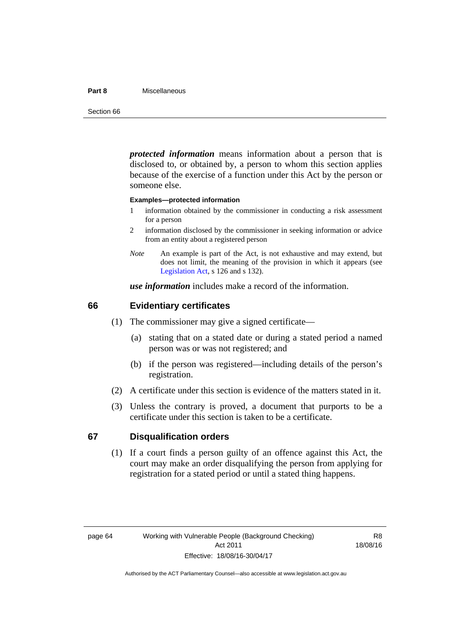#### **Part 8** Miscellaneous

*protected information* means information about a person that is disclosed to, or obtained by, a person to whom this section applies because of the exercise of a function under this Act by the person or someone else.

#### **Examples—protected information**

- 1 information obtained by the commissioner in conducting a risk assessment for a person
- 2 information disclosed by the commissioner in seeking information or advice from an entity about a registered person
- *Note* An example is part of the Act, is not exhaustive and may extend, but does not limit, the meaning of the provision in which it appears (see [Legislation Act,](http://www.legislation.act.gov.au/a/2001-14) s 126 and s 132).

*use information* includes make a record of the information.

## **66 Evidentiary certificates**

- (1) The commissioner may give a signed certificate—
	- (a) stating that on a stated date or during a stated period a named person was or was not registered; and
	- (b) if the person was registered—including details of the person's registration.
- (2) A certificate under this section is evidence of the matters stated in it.
- (3) Unless the contrary is proved, a document that purports to be a certificate under this section is taken to be a certificate.

## **67 Disqualification orders**

(1) If a court finds a person guilty of an offence against this Act, the court may make an order disqualifying the person from applying for registration for a stated period or until a stated thing happens.

R8 18/08/16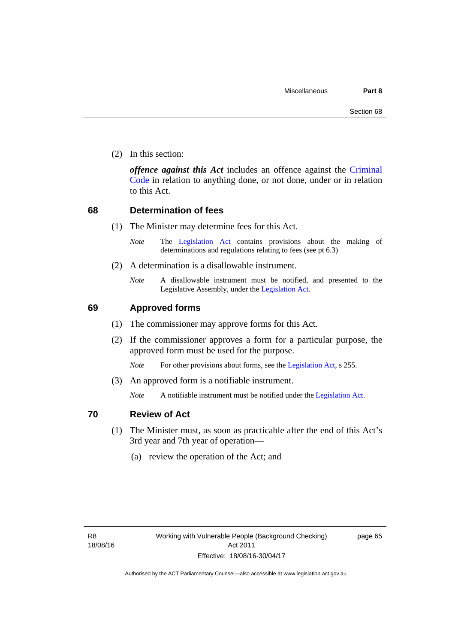(2) In this section:

*offence against this Act* includes an offence against the [Criminal](http://www.legislation.act.gov.au/a/2002-51)  [Code](http://www.legislation.act.gov.au/a/2002-51) in relation to anything done, or not done, under or in relation to this Act.

# **68 Determination of fees**

- (1) The Minister may determine fees for this Act.
	- *Note* The [Legislation Act](http://www.legislation.act.gov.au/a/2001-14) contains provisions about the making of determinations and regulations relating to fees (see pt 6.3)
- (2) A determination is a disallowable instrument.
	- *Note* A disallowable instrument must be notified, and presented to the Legislative Assembly, under the [Legislation Act.](http://www.legislation.act.gov.au/a/2001-14)

# **69 Approved forms**

- (1) The commissioner may approve forms for this Act.
- (2) If the commissioner approves a form for a particular purpose, the approved form must be used for the purpose.

*Note* For other provisions about forms, see the [Legislation Act,](http://www.legislation.act.gov.au/a/2001-14) s 255.

(3) An approved form is a notifiable instrument.

*Note* A notifiable instrument must be notified under the [Legislation Act](http://www.legislation.act.gov.au/a/2001-14).

# **70 Review of Act**

- (1) The Minister must, as soon as practicable after the end of this Act's 3rd year and 7th year of operation—
	- (a) review the operation of the Act; and

page 65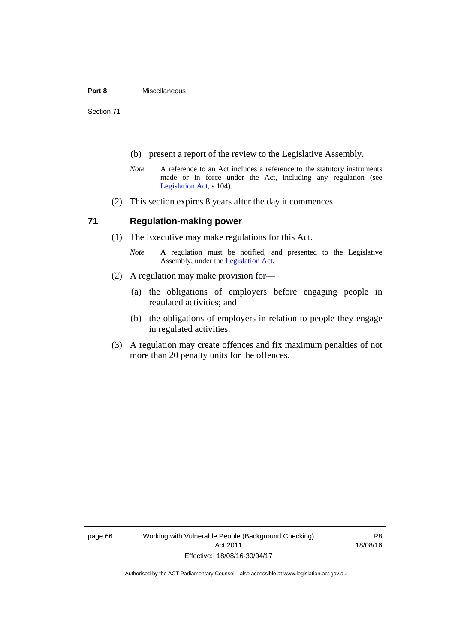Section 71

- (b) present a report of the review to the Legislative Assembly.
- *Note* A reference to an Act includes a reference to the statutory instruments made or in force under the Act, including any regulation (see [Legislation Act,](http://www.legislation.act.gov.au/a/2001-14) s 104).
- (2) This section expires 8 years after the day it commences.

### **71 Regulation-making power**

- (1) The Executive may make regulations for this Act.
	- *Note* A regulation must be notified, and presented to the Legislative Assembly, under the [Legislation Act](http://www.legislation.act.gov.au/a/2001-14).
- (2) A regulation may make provision for—
	- (a) the obligations of employers before engaging people in regulated activities; and
	- (b) the obligations of employers in relation to people they engage in regulated activities.
- (3) A regulation may create offences and fix maximum penalties of not more than 20 penalty units for the offences.

page 66 Working with Vulnerable People (Background Checking) Act 2011 Effective: 18/08/16-30/04/17

R8 18/08/16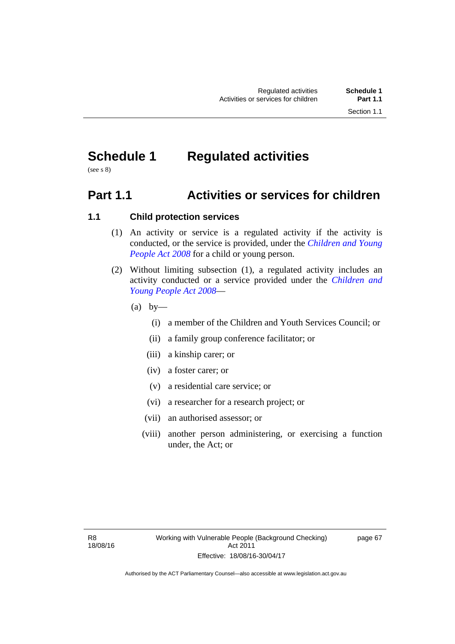# **Schedule 1 Regulated activities**

(see s 8)

# **Part 1.1 Activities or services for children**

# **1.1 Child protection services**

- (1) An activity or service is a regulated activity if the activity is conducted, or the service is provided, under the *[Children and Young](http://www.legislation.act.gov.au/a/2008-19)  [People Act 2008](http://www.legislation.act.gov.au/a/2008-19)* for a child or young person.
- (2) Without limiting subsection (1), a regulated activity includes an activity conducted or a service provided under the *[Children and](http://www.legislation.act.gov.au/a/2008-19)  [Young People Act 2008](http://www.legislation.act.gov.au/a/2008-19)*—
	- $(a)$  by—
		- (i) a member of the Children and Youth Services Council; or
		- (ii) a family group conference facilitator; or
		- (iii) a kinship carer; or
		- (iv) a foster carer; or
		- (v) a residential care service; or
		- (vi) a researcher for a research project; or
		- (vii) an authorised assessor; or
		- (viii) another person administering, or exercising a function under, the Act; or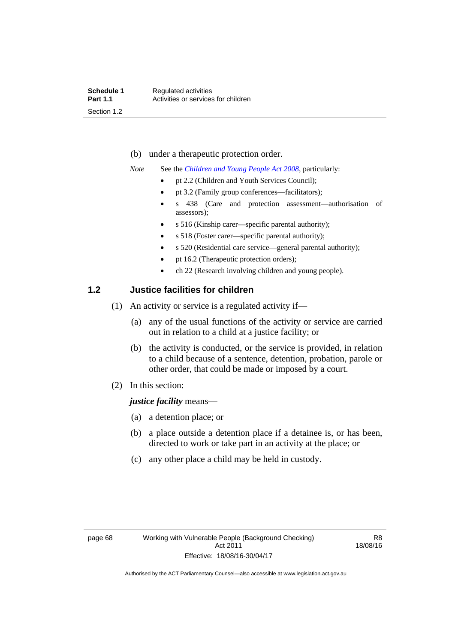- (b) under a therapeutic protection order.
- *Note* See the *[Children and Young People Act 2008](http://www.legislation.act.gov.au/a/2008-19)*, particularly:
	- pt 2.2 (Children and Youth Services Council);
	- pt 3.2 (Family group conferences—facilitators);
	- s 438 (Care and protection assessment—authorisation of assessors);
	- s 516 (Kinship carer—specific parental authority);
	- s 518 (Foster carer—specific parental authority);
	- s 520 (Residential care service—general parental authority);
	- pt 16.2 (Therapeutic protection orders);
	- ch 22 (Research involving children and young people).

# **1.2 Justice facilities for children**

- (1) An activity or service is a regulated activity if—
	- (a) any of the usual functions of the activity or service are carried out in relation to a child at a justice facility; or
	- (b) the activity is conducted, or the service is provided, in relation to a child because of a sentence, detention, probation, parole or other order, that could be made or imposed by a court.
- (2) In this section:

### *justice facility* means—

- (a) a detention place; or
- (b) a place outside a detention place if a detainee is, or has been, directed to work or take part in an activity at the place; or
- (c) any other place a child may be held in custody.

R8 18/08/16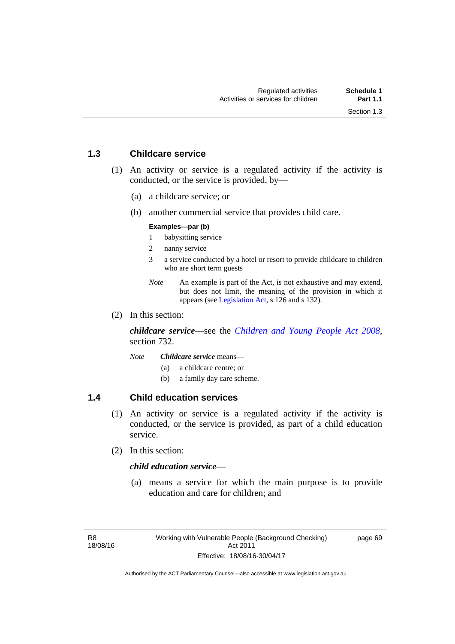# **1.3 Childcare service**

- (1) An activity or service is a regulated activity if the activity is conducted, or the service is provided, by—
	- (a) a childcare service; or
	- (b) another commercial service that provides child care.

### **Examples—par (b)**

- 1 babysitting service
- 2 nanny service
- 3 a service conducted by a hotel or resort to provide childcare to children who are short term guests
- *Note* An example is part of the Act, is not exhaustive and may extend, but does not limit, the meaning of the provision in which it appears (see [Legislation Act,](http://www.legislation.act.gov.au/a/2001-14) s 126 and s 132).
- (2) In this section:

*childcare service*—see the *[Children and Young People Act 2008](http://www.legislation.act.gov.au/a/2008-19)*, section 732.

- *Note Childcare service* means—
	- (a) a childcare centre; or
	- (b) a family day care scheme.

# **1.4 Child education services**

- (1) An activity or service is a regulated activity if the activity is conducted, or the service is provided, as part of a child education service.
- (2) In this section:

# *child education service*—

 (a) means a service for which the main purpose is to provide education and care for children; and

page 69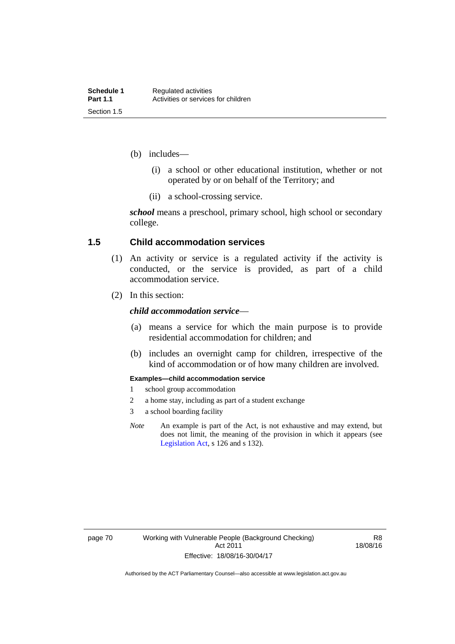- (b) includes—
	- (i) a school or other educational institution, whether or not operated by or on behalf of the Territory; and
	- (ii) a school-crossing service.

*school* means a preschool, primary school, high school or secondary college.

### **1.5 Child accommodation services**

- (1) An activity or service is a regulated activity if the activity is conducted, or the service is provided, as part of a child accommodation service.
- (2) In this section:

### *child accommodation service*—

- (a) means a service for which the main purpose is to provide residential accommodation for children; and
- (b) includes an overnight camp for children, irrespective of the kind of accommodation or of how many children are involved.

### **Examples—child accommodation service**

- 1 school group accommodation
- 2 a home stay, including as part of a student exchange
- 3 a school boarding facility
- *Note* An example is part of the Act, is not exhaustive and may extend, but does not limit, the meaning of the provision in which it appears (see [Legislation Act,](http://www.legislation.act.gov.au/a/2001-14) s 126 and s 132).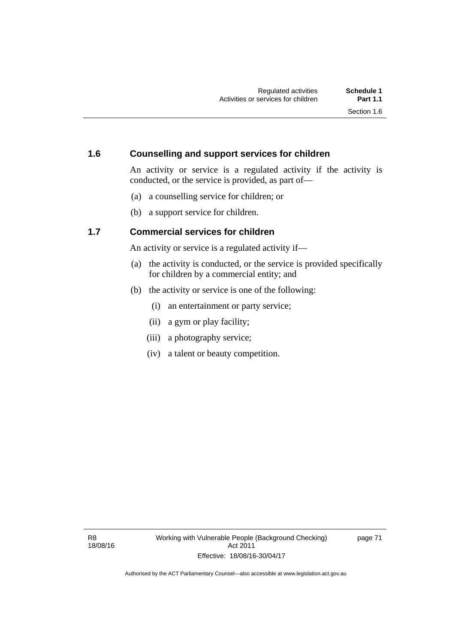An activity or service is a regulated activity if the activity is conducted, or the service is provided, as part of—

- (a) a counselling service for children; or
- (b) a support service for children.

# **1.7 Commercial services for children**

An activity or service is a regulated activity if—

- (a) the activity is conducted, or the service is provided specifically for children by a commercial entity; and
- (b) the activity or service is one of the following:
	- (i) an entertainment or party service;
	- (ii) a gym or play facility;
	- (iii) a photography service;
	- (iv) a talent or beauty competition.

page 71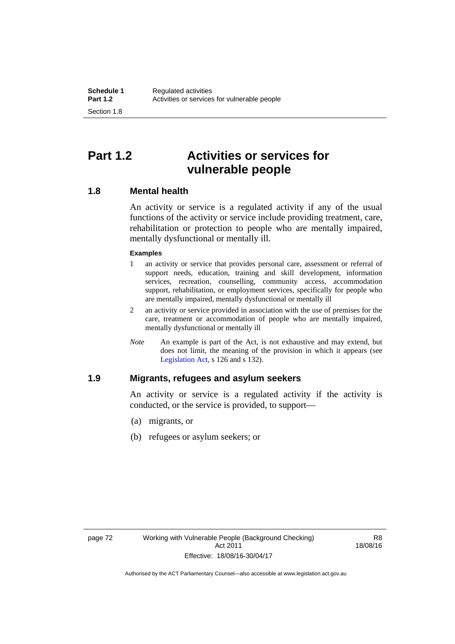# **Part 1.2 Activities or services for vulnerable people**

# **1.8 Mental health**

An activity or service is a regulated activity if any of the usual functions of the activity or service include providing treatment, care, rehabilitation or protection to people who are mentally impaired, mentally dysfunctional or mentally ill.

### **Examples**

- 1 an activity or service that provides personal care, assessment or referral of support needs, education, training and skill development, information services, recreation, counselling, community access, accommodation support, rehabilitation, or employment services, specifically for people who are mentally impaired, mentally dysfunctional or mentally ill
- 2 an activity or service provided in association with the use of premises for the care, treatment or accommodation of people who are mentally impaired, mentally dysfunctional or mentally ill
- *Note* An example is part of the Act, is not exhaustive and may extend, but does not limit, the meaning of the provision in which it appears (see [Legislation Act,](http://www.legislation.act.gov.au/a/2001-14) s 126 and s 132).

### **1.9 Migrants, refugees and asylum seekers**

An activity or service is a regulated activity if the activity is conducted, or the service is provided, to support—

- (a) migrants, or
- (b) refugees or asylum seekers; or

R8 18/08/16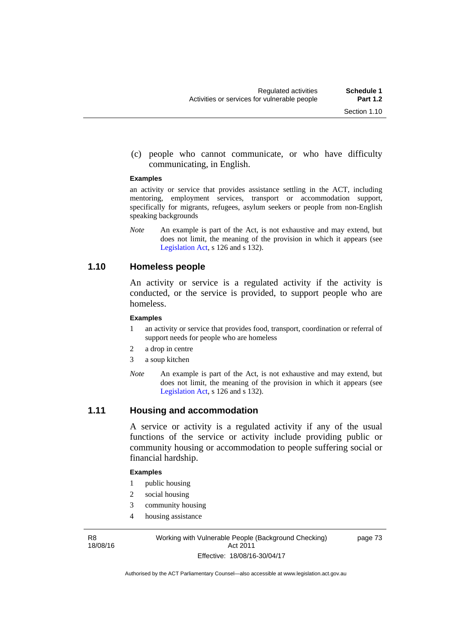(c) people who cannot communicate, or who have difficulty communicating, in English.

### **Examples**

an activity or service that provides assistance settling in the ACT, including mentoring, employment services, transport or accommodation support, specifically for migrants, refugees, asylum seekers or people from non-English speaking backgrounds

*Note* An example is part of the Act, is not exhaustive and may extend, but does not limit, the meaning of the provision in which it appears (see [Legislation Act,](http://www.legislation.act.gov.au/a/2001-14) s 126 and s 132).

# **1.10 Homeless people**

An activity or service is a regulated activity if the activity is conducted, or the service is provided, to support people who are homeless.

### **Examples**

- 1 an activity or service that provides food, transport, coordination or referral of support needs for people who are homeless
- 2 a drop in centre
- 3 a soup kitchen
- *Note* An example is part of the Act, is not exhaustive and may extend, but does not limit, the meaning of the provision in which it appears (see [Legislation Act,](http://www.legislation.act.gov.au/a/2001-14) s 126 and s 132).

# **1.11 Housing and accommodation**

A service or activity is a regulated activity if any of the usual functions of the service or activity include providing public or community housing or accommodation to people suffering social or financial hardship.

### **Examples**

- 1 public housing
- 2 social housing
- 3 community housing
- 4 housing assistance

R8 18/08/16 page 73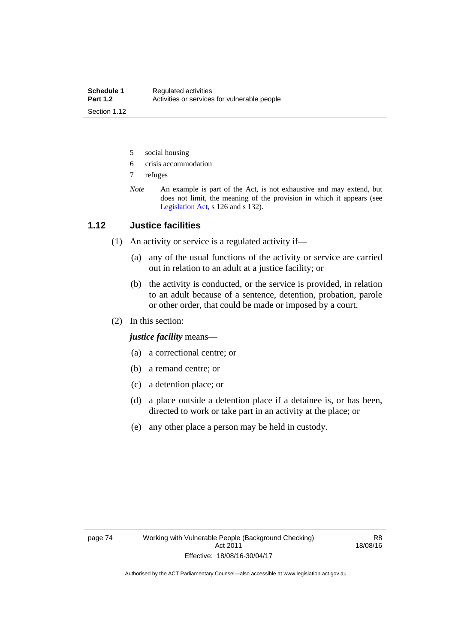- 5 social housing
- 6 crisis accommodation
- 7 refuges
- *Note* An example is part of the Act, is not exhaustive and may extend, but does not limit, the meaning of the provision in which it appears (see [Legislation Act,](http://www.legislation.act.gov.au/a/2001-14) s 126 and s 132).

# **1.12 Justice facilities**

- (1) An activity or service is a regulated activity if—
	- (a) any of the usual functions of the activity or service are carried out in relation to an adult at a justice facility; or
	- (b) the activity is conducted, or the service is provided, in relation to an adult because of a sentence, detention, probation, parole or other order, that could be made or imposed by a court.
- (2) In this section:

*justice facility* means—

- (a) a correctional centre; or
- (b) a remand centre; or
- (c) a detention place; or
- (d) a place outside a detention place if a detainee is, or has been, directed to work or take part in an activity at the place; or
- (e) any other place a person may be held in custody.

R8 18/08/16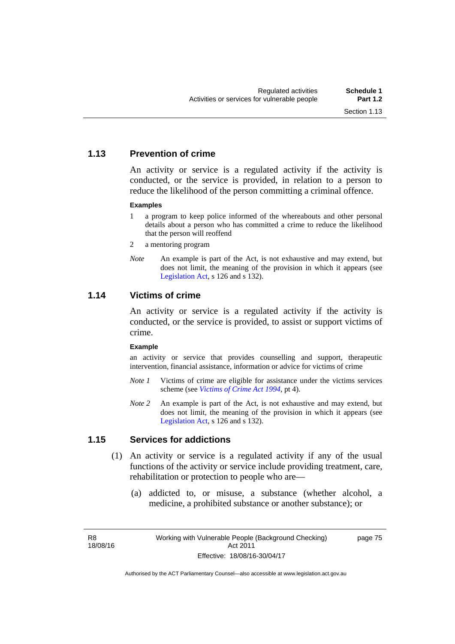# **1.13 Prevention of crime**

An activity or service is a regulated activity if the activity is conducted, or the service is provided, in relation to a person to reduce the likelihood of the person committing a criminal offence.

### **Examples**

- 1 a program to keep police informed of the whereabouts and other personal details about a person who has committed a crime to reduce the likelihood that the person will reoffend
- 2 a mentoring program
- *Note* An example is part of the Act, is not exhaustive and may extend, but does not limit, the meaning of the provision in which it appears (see [Legislation Act,](http://www.legislation.act.gov.au/a/2001-14) s 126 and s 132).

# **1.14 Victims of crime**

An activity or service is a regulated activity if the activity is conducted, or the service is provided, to assist or support victims of crime.

### **Example**

an activity or service that provides counselling and support, therapeutic intervention, financial assistance, information or advice for victims of crime

- *Note 1* Victims of crime are eligible for assistance under the victims services scheme (see *[Victims of Crime Act 1994](http://www.legislation.act.gov.au/a/1994-83)*, pt 4).
- *Note 2* An example is part of the Act, is not exhaustive and may extend, but does not limit, the meaning of the provision in which it appears (see [Legislation Act,](http://www.legislation.act.gov.au/a/2001-14) s 126 and s 132).

# **1.15 Services for addictions**

- (1) An activity or service is a regulated activity if any of the usual functions of the activity or service include providing treatment, care, rehabilitation or protection to people who are—
	- (a) addicted to, or misuse, a substance (whether alcohol, a medicine, a prohibited substance or another substance); or

R8 18/08/16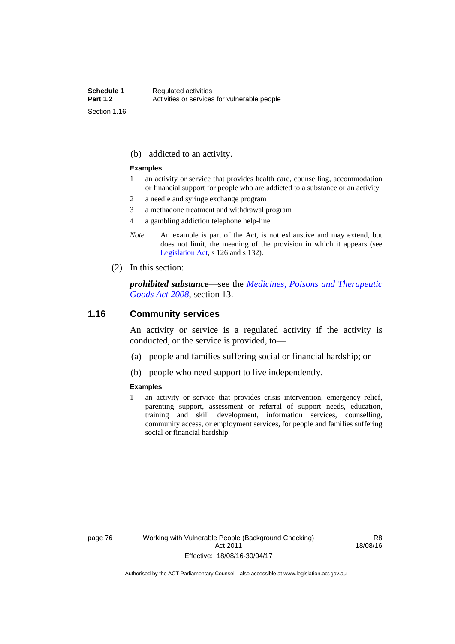(b) addicted to an activity.

### **Examples**

- 1 an activity or service that provides health care, counselling, accommodation or financial support for people who are addicted to a substance or an activity
- 2 a needle and syringe exchange program
- 3 a methadone treatment and withdrawal program
- 4 a gambling addiction telephone help-line
- *Note* An example is part of the Act, is not exhaustive and may extend, but does not limit, the meaning of the provision in which it appears (see [Legislation Act,](http://www.legislation.act.gov.au/a/2001-14) s 126 and s 132).
- (2) In this section:

*prohibited substance*—see the *[Medicines, Poisons and Therapeutic](http://www.legislation.act.gov.au/a/2008-26)  [Goods Act 2008](http://www.legislation.act.gov.au/a/2008-26)*, section 13.

# **1.16 Community services**

An activity or service is a regulated activity if the activity is conducted, or the service is provided, to—

- (a) people and families suffering social or financial hardship; or
- (b) people who need support to live independently.

### **Examples**

1 an activity or service that provides crisis intervention, emergency relief, parenting support, assessment or referral of support needs, education, training and skill development, information services, counselling, community access, or employment services, for people and families suffering social or financial hardship

R8 18/08/16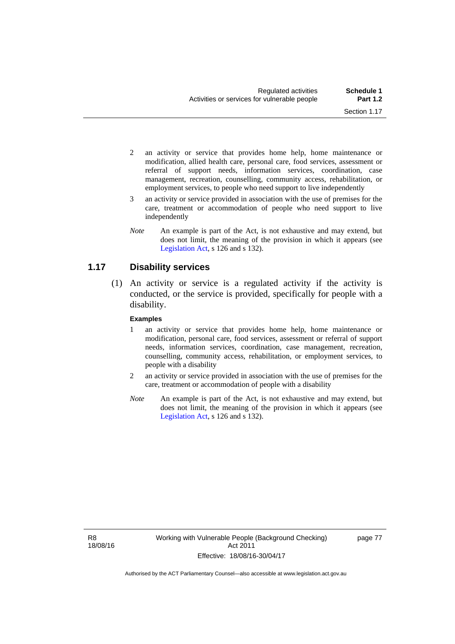- 2 an activity or service that provides home help, home maintenance or modification, allied health care, personal care, food services, assessment or referral of support needs, information services, coordination, case management, recreation, counselling, community access, rehabilitation, or employment services, to people who need support to live independently
- 3 an activity or service provided in association with the use of premises for the care, treatment or accommodation of people who need support to live independently
- *Note* An example is part of the Act, is not exhaustive and may extend, but does not limit, the meaning of the provision in which it appears (see [Legislation Act,](http://www.legislation.act.gov.au/a/2001-14) s 126 and s 132).

# **1.17 Disability services**

 (1) An activity or service is a regulated activity if the activity is conducted, or the service is provided, specifically for people with a disability.

### **Examples**

- 1 an activity or service that provides home help, home maintenance or modification, personal care, food services, assessment or referral of support needs, information services, coordination, case management, recreation, counselling, community access, rehabilitation, or employment services, to people with a disability
- 2 an activity or service provided in association with the use of premises for the care, treatment or accommodation of people with a disability
- *Note* An example is part of the Act, is not exhaustive and may extend, but does not limit, the meaning of the provision in which it appears (see [Legislation Act,](http://www.legislation.act.gov.au/a/2001-14) s 126 and s 132).

R8 18/08/16 page 77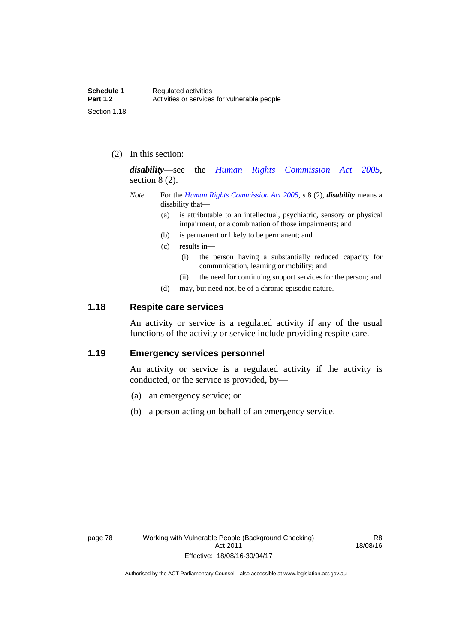(2) In this section:

*disability*—see the *[Human Rights Commission Act 2005](http://www.legislation.act.gov.au/a/2005-40)*, section 8 (2).

- *Note* For the *[Human Rights Commission Act 2005](http://www.legislation.act.gov.au/a/2005-40)*, s 8 (2), *disability* means a disability that—
	- (a) is attributable to an intellectual, psychiatric, sensory or physical impairment, or a combination of those impairments; and
	- (b) is permanent or likely to be permanent; and
	- (c) results in—
		- (i) the person having a substantially reduced capacity for communication, learning or mobility; and
		- (ii) the need for continuing support services for the person; and
	- (d) may, but need not, be of a chronic episodic nature.

# **1.18 Respite care services**

An activity or service is a regulated activity if any of the usual functions of the activity or service include providing respite care.

# **1.19 Emergency services personnel**

An activity or service is a regulated activity if the activity is conducted, or the service is provided, by—

- (a) an emergency service; or
- (b) a person acting on behalf of an emergency service.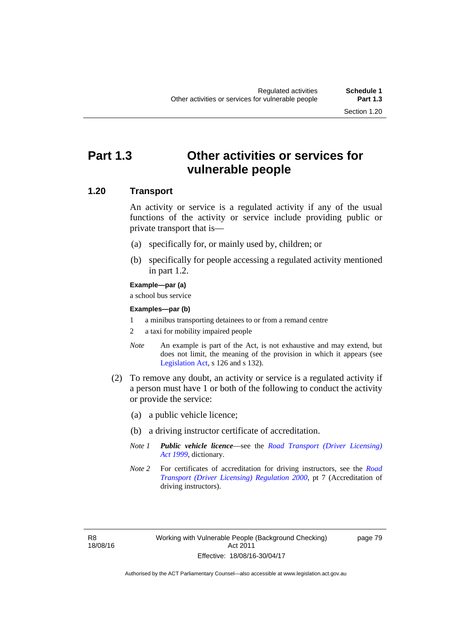# **Part 1.3 Other activities or services for vulnerable people**

# **1.20 Transport**

An activity or service is a regulated activity if any of the usual functions of the activity or service include providing public or private transport that is—

- (a) specifically for, or mainly used by, children; or
- (b) specifically for people accessing a regulated activity mentioned in part 1.2.

### **Example—par (a)**

a school bus service

### **Examples—par (b)**

- 1 a minibus transporting detainees to or from a remand centre
- 2 a taxi for mobility impaired people
- *Note* An example is part of the Act, is not exhaustive and may extend, but does not limit, the meaning of the provision in which it appears (see [Legislation Act,](http://www.legislation.act.gov.au/a/2001-14) s 126 and s 132).
- (2) To remove any doubt, an activity or service is a regulated activity if a person must have 1 or both of the following to conduct the activity or provide the service:
	- (a) a public vehicle licence;
	- (b) a driving instructor certificate of accreditation.
	- *Note 1 Public vehicle licence*—see the *[Road Transport \(Driver Licensing\)](http://www.legislation.act.gov.au/a/1999-78)  [Act 1999](http://www.legislation.act.gov.au/a/1999-78)*, dictionary.
	- *Note 2* For certificates of accreditation for driving instructors, see the *[Road](http://www.legislation.act.gov.au/sl/2000-14)  [Transport \(Driver Licensing\) Regulation 2000](http://www.legislation.act.gov.au/sl/2000-14)*, pt 7 (Accreditation of driving instructors).

page 79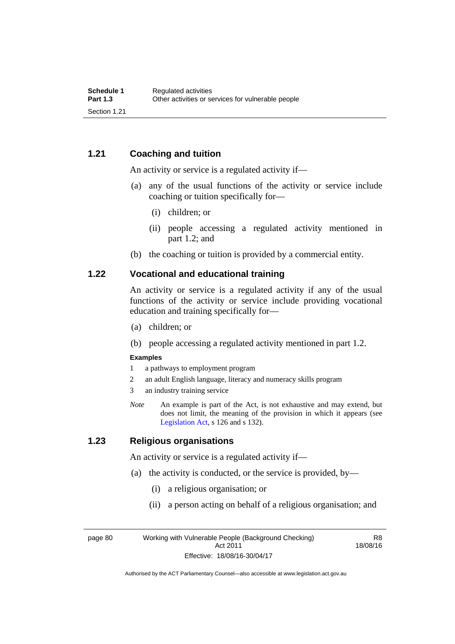# **1.21 Coaching and tuition**

An activity or service is a regulated activity if—

- (a) any of the usual functions of the activity or service include coaching or tuition specifically for—
	- (i) children; or
	- (ii) people accessing a regulated activity mentioned in part 1.2; and
- (b) the coaching or tuition is provided by a commercial entity.

# **1.22 Vocational and educational training**

An activity or service is a regulated activity if any of the usual functions of the activity or service include providing vocational education and training specifically for—

- (a) children; or
- (b) people accessing a regulated activity mentioned in part 1.2.

### **Examples**

- 1 a pathways to employment program
- 2 an adult English language, literacy and numeracy skills program
- 3 an industry training service
- *Note* An example is part of the Act, is not exhaustive and may extend, but does not limit, the meaning of the provision in which it appears (see [Legislation Act,](http://www.legislation.act.gov.au/a/2001-14) s 126 and s 132).

# **1.23 Religious organisations**

An activity or service is a regulated activity if—

- (a) the activity is conducted, or the service is provided, by—
	- (i) a religious organisation; or
	- (ii) a person acting on behalf of a religious organisation; and

page 80 Working with Vulnerable People (Background Checking) Act 2011 Effective: 18/08/16-30/04/17

R8 18/08/16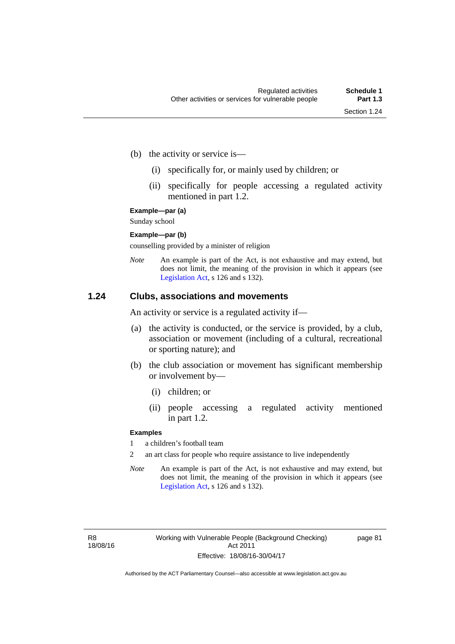- (b) the activity or service is—
	- (i) specifically for, or mainly used by children; or
	- (ii) specifically for people accessing a regulated activity mentioned in part 1.2.

**Example—par (a)** 

Sunday school

### **Example—par (b)**

counselling provided by a minister of religion

*Note* An example is part of the Act, is not exhaustive and may extend, but does not limit, the meaning of the provision in which it appears (see [Legislation Act,](http://www.legislation.act.gov.au/a/2001-14) s 126 and s 132).

# **1.24 Clubs, associations and movements**

An activity or service is a regulated activity if—

- (a) the activity is conducted, or the service is provided, by a club, association or movement (including of a cultural, recreational or sporting nature); and
- (b) the club association or movement has significant membership or involvement by—
	- (i) children; or
	- (ii) people accessing a regulated activity mentioned in part 1.2.

### **Examples**

1 a children's football team

2 an art class for people who require assistance to live independently

*Note* An example is part of the Act, is not exhaustive and may extend, but does not limit, the meaning of the provision in which it appears (see [Legislation Act,](http://www.legislation.act.gov.au/a/2001-14) s 126 and s 132).

R8 18/08/16 page 81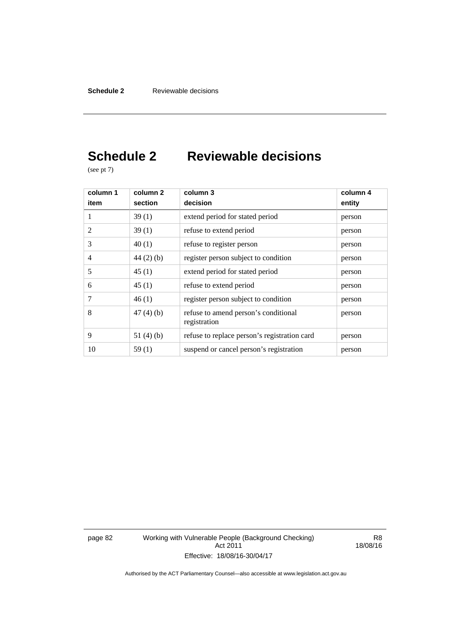# **Schedule 2 Reviewable decisions**

(see pt 7)

| column 1       | column 2       | column 3                                             | column 4 |
|----------------|----------------|------------------------------------------------------|----------|
| item           | section        | decision                                             | entity   |
| 1              | 39(1)          | extend period for stated period                      | person   |
| 2              | 39(1)          | refuse to extend period                              | person   |
| 3              | 40(1)          | refuse to register person                            | person   |
| $\overline{4}$ | $44(2)$ (b)    | register person subject to condition                 | person   |
| 5              | 45(1)          | extend period for stated period                      | person   |
| 6              | 45(1)          | refuse to extend period                              | person   |
| 7              | 46(1)          | register person subject to condition                 | person   |
| 8              | 47(4)(b)       | refuse to amend person's conditional<br>registration | person   |
| 9              | 51 $(4)$ $(b)$ | refuse to replace person's registration card         | person   |
| 10             | 59(1)          | suspend or cancel person's registration              | person   |

page 82 Working with Vulnerable People (Background Checking) Act 2011 Effective: 18/08/16-30/04/17

R8 18/08/16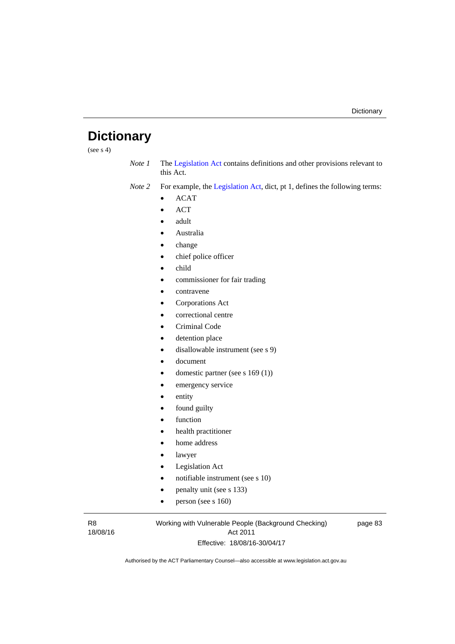# **Dictionary**

(see  $s$  4)

- *Note 1* The [Legislation Act](http://www.legislation.act.gov.au/a/2001-14) contains definitions and other provisions relevant to this Act.
- *Note 2* For example, the [Legislation Act,](http://www.legislation.act.gov.au/a/2001-14) dict, pt 1, defines the following terms:
	- $\bullet$  ACAT
	- ACT
	- adult
	- Australia
	- change
	- chief police officer
	- child
	- commissioner for fair trading
	- contravene
	- Corporations Act
	- correctional centre
	- Criminal Code
	- detention place
	- disallowable instrument (see s 9)
	- document
	- domestic partner (see s 169 (1))
	- emergency service
	- entity
	- found guilty
	- function
	- health practitioner
	- home address
	- lawyer
	- Legislation Act
	- notifiable instrument (see s 10)
	- penalty unit (see s 133)
	- $\bullet$  person (see s 160)

R8 18/08/16 Working with Vulnerable People (Background Checking) Act 2011 Effective: 18/08/16-30/04/17

page 83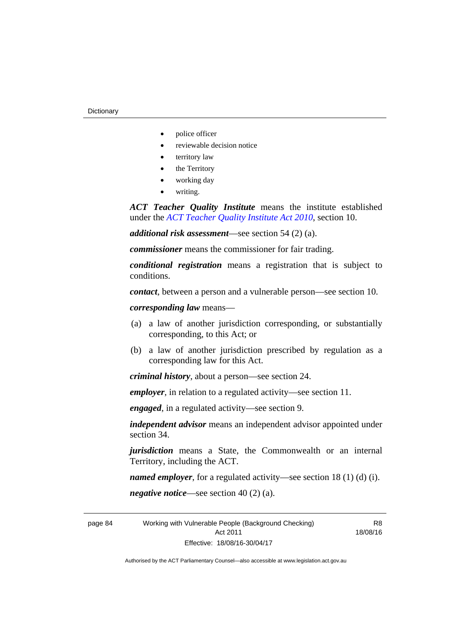- police officer
- reviewable decision notice
- territory law
- the Territory
- working day
- writing.

*ACT Teacher Quality Institute* means the institute established under the *[ACT Teacher Quality Institute Act 2010](http://www.legislation.act.gov.au/a/2010-55)*, section 10.

*additional risk assessment*—see section 54 (2) (a).

*commissioner* means the commissioner for fair trading.

*conditional registration* means a registration that is subject to conditions.

*contact*, between a person and a vulnerable person—see section 10.

*corresponding law* means—

- (a) a law of another jurisdiction corresponding, or substantially corresponding, to this Act; or
- (b) a law of another jurisdiction prescribed by regulation as a corresponding law for this Act.

*criminal history*, about a person—see section 24.

*employer*, in relation to a regulated activity—see section 11.

*engaged*, in a regulated activity—see section 9.

*independent advisor* means an independent advisor appointed under section 34.

*jurisdiction* means a State, the Commonwealth or an internal Territory, including the ACT.

*named employer*, for a regulated activity—see section 18 (1) (d) (i).

*negative notice*—see section 40 (2) (a).

page 84 Working with Vulnerable People (Background Checking) Act 2011 Effective: 18/08/16-30/04/17

R8 18/08/16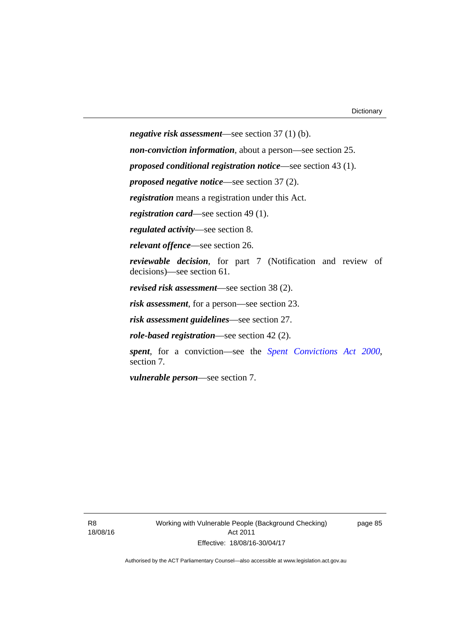*negative risk assessment*—see section 37 (1) (b). *non-conviction information*, about a person—see section 25. *proposed conditional registration notice*—see section 43 (1). *proposed negative notice*—see section 37 (2). *registration* means a registration under this Act. *registration card*—see section 49 (1). *regulated activity*—see section 8. *relevant offence*—see section 26. *reviewable decision*, for part 7 (Notification and review of decisions)—see section 61. *revised risk assessment*—see section 38 (2). *risk assessment*, for a person—see section 23. *risk assessment guidelines*—see section 27. *role-based registration*—see section 42 (2). *spent*, for a conviction—see the *[Spent Convictions Act 2000](http://www.legislation.act.gov.au/a/2000-48)*,

*vulnerable person*—see section 7.

section 7.

R8 18/08/16 Working with Vulnerable People (Background Checking) Act 2011 Effective: 18/08/16-30/04/17

page 85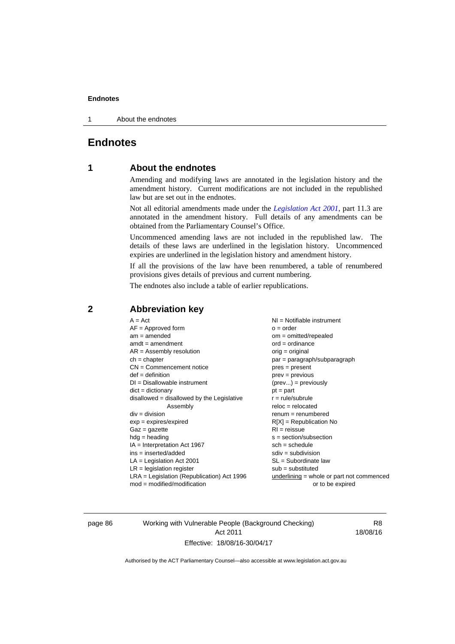1 About the endnotes

# **Endnotes**

# **1 About the endnotes**

Amending and modifying laws are annotated in the legislation history and the amendment history. Current modifications are not included in the republished law but are set out in the endnotes.

Not all editorial amendments made under the *[Legislation Act 2001](http://www.legislation.act.gov.au/a/2001-14)*, part 11.3 are annotated in the amendment history. Full details of any amendments can be obtained from the Parliamentary Counsel's Office.

Uncommenced amending laws are not included in the republished law. The details of these laws are underlined in the legislation history. Uncommenced expiries are underlined in the legislation history and amendment history.

If all the provisions of the law have been renumbered, a table of renumbered provisions gives details of previous and current numbering.

The endnotes also include a table of earlier republications.

| $A = Act$                                    | $NI =$ Notifiable instrument              |
|----------------------------------------------|-------------------------------------------|
| $AF =$ Approved form                         | $o = order$                               |
| $am = amended$                               | $om = omitted/repealed$                   |
| $amdt = amendment$                           | $ord = ordinance$                         |
| $AR = Assembly resolution$                   | $orig = original$                         |
| $ch = chapter$                               | par = paragraph/subparagraph              |
| $CN =$ Commencement notice                   | $pres = present$                          |
| $def = definition$                           | $prev = previous$                         |
| $DI = Disallowable instrument$               | $(\text{prev}) = \text{previously}$       |
| $dict = dictionary$                          | $pt = part$                               |
| disallowed = disallowed by the Legislative   | $r = rule/subrule$                        |
| Assembly                                     | $reloc = relocated$                       |
| $div =$ division                             | $renum = renumbered$                      |
| $exp = expires/expired$                      | $R[X]$ = Republication No                 |
| $Gaz = gazette$                              | $RI = reissue$                            |
| $hdg = heading$                              | $s = section/subsection$                  |
| $IA = Interpretation Act 1967$               | $sch = schedule$                          |
| $ins = inserted/added$                       | $sdiv = subdivision$                      |
| $LA =$ Legislation Act 2001                  | $SL = Subordinate$ law                    |
| $LR =$ legislation register                  | $sub =$ substituted                       |
| $LRA =$ Legislation (Republication) Act 1996 | underlining = whole or part not commenced |
| $mod = modified/modification$                | or to be expired                          |
|                                              |                                           |

### **2 Abbreviation key**

page 86 Working with Vulnerable People (Background Checking) Act 2011 Effective: 18/08/16-30/04/17

R8 18/08/16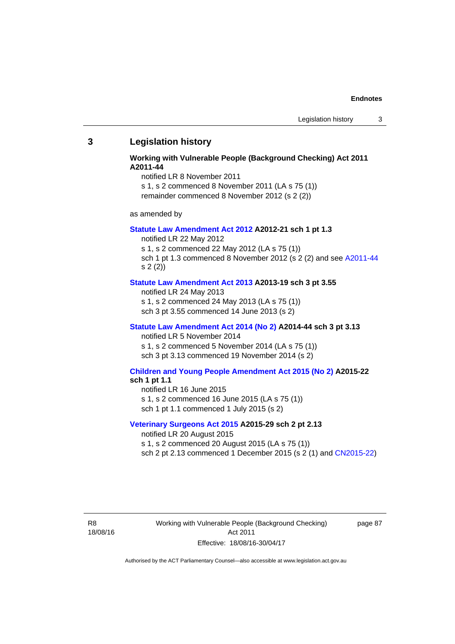### **3 Legislation history**

### **Working with Vulnerable People (Background Checking) Act 2011 A2011-44**

notified LR 8 November 2011

s 1, s 2 commenced 8 November 2011 (LA s 75 (1)) remainder commenced 8 November 2012 (s 2 (2))

as amended by

### **[Statute Law Amendment Act 2012](http://www.legislation.act.gov.au/a/2012-21) A2012-21 sch 1 pt 1.3**

notified LR 22 May 2012

s 1, s 2 commenced 22 May 2012 (LA s 75 (1))

sch 1 pt 1.3 commenced 8 November 2012 (s 2 (2) and see [A2011-44](http://www.legislation.act.gov.au/a/2011-44) s 2 (2))

### **[Statute Law Amendment Act 2013](http://www.legislation.act.gov.au/a/2013-19) A2013-19 sch 3 pt 3.55**

notified LR 24 May 2013 s 1, s 2 commenced 24 May 2013 (LA s 75 (1)) sch 3 pt 3.55 commenced 14 June 2013 (s 2)

### **[Statute Law Amendment Act 2014 \(No 2\)](http://www.legislation.act.gov.au/a/2014-44) A2014-44 sch 3 pt 3.13**

notified LR 5 November 2014 s 1, s 2 commenced 5 November 2014 (LA s 75 (1))

sch 3 pt 3.13 commenced 19 November 2014 (s 2)

### **[Children and Young People Amendment Act 2015 \(No 2\)](http://www.legislation.act.gov.au/a/2015-22/default.asp) A2015-22 sch 1 pt 1.1**

notified LR 16 June 2015

s 1, s 2 commenced 16 June 2015 (LA s 75 (1))

sch 1 pt 1.1 commenced 1 July 2015 (s 2)

### **[Veterinary Surgeons Act 2015](http://www.legislation.act.gov.au/a/2015-29/default.asp) A2015-29 sch 2 pt 2.13**

notified LR 20 August 2015 s 1, s 2 commenced 20 August 2015 (LA s 75 (1)) sch 2 pt 2.13 commenced 1 December 2015 (s 2 (1) and [CN2015-22\)](http://www.legislation.act.gov.au/cn/2015-22/default.asp)

Working with Vulnerable People (Background Checking) Act 2011 Effective: 18/08/16-30/04/17

page 87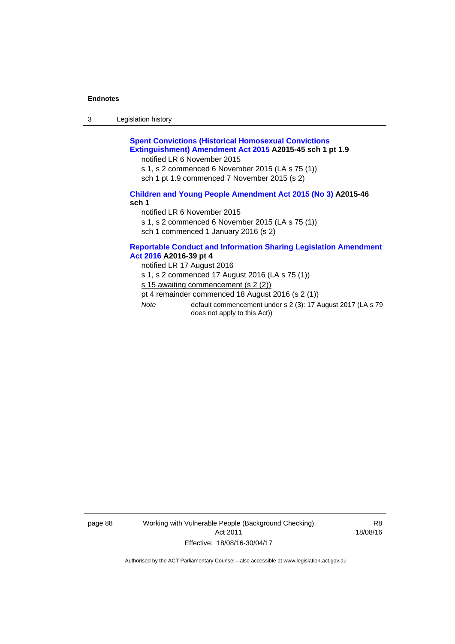3 Legislation history

# **[Spent Convictions \(Historical Homosexual Convictions](http://www.legislation.act.gov.au/a/2015-45)  [Extinguishment\) Amendment Act 2015](http://www.legislation.act.gov.au/a/2015-45) A2015-45 sch 1 pt 1.9**

notified LR 6 November 2015

s 1, s 2 commenced 6 November 2015 (LA s 75 (1))

sch 1 pt 1.9 commenced 7 November 2015 (s 2)

### **[Children and Young People Amendment Act 2015 \(No 3\)](http://www.legislation.act.gov.au/a/2015-46/default.asp) A2015-46 sch 1**

notified LR 6 November 2015

s 1, s 2 commenced 6 November 2015 (LA s 75 (1))

sch 1 commenced 1 January 2016 (s 2)

### **[Reportable Conduct and Information Sharing Legislation Amendment](http://www.legislation.act.gov.au/a/2016-39/default.asp)  [Act 2016](http://www.legislation.act.gov.au/a/2016-39/default.asp) A2016-39 pt 4**

notified LR 17 August 2016

- s 1, s 2 commenced 17 August 2016 (LA s 75 (1))
- s 15 awaiting commencement (s 2 (2))
- pt 4 remainder commenced 18 August 2016 (s 2 (1))
- *Note* default commencement under s 2 (3): 17 August 2017 (LA s 79 does not apply to this Act))

page 88 Working with Vulnerable People (Background Checking) Act 2011 Effective: 18/08/16-30/04/17

R8 18/08/16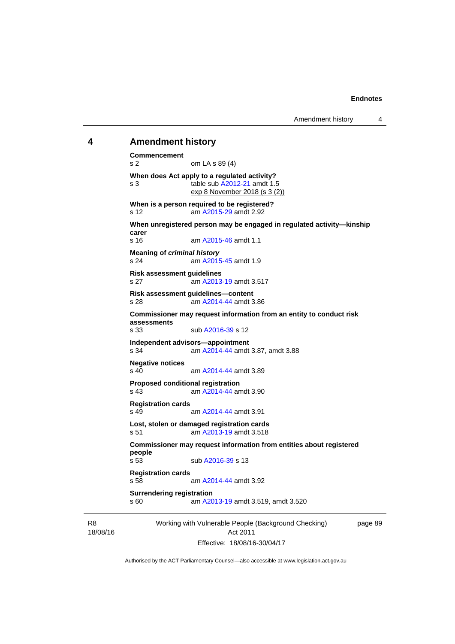### **4 Amendment history**

```
Commencement 
s 2 om LA s 89 (4) 
When does Act apply to a regulated activity? 
s 3 table sub A2012-21 amdt 1.5 
               exp 8 November 2018 (s 3 (2))
When is a person required to be registered? 
s 12 am A2015-29 amdt 2.92
When unregistered person may be engaged in regulated activity—kinship 
carer 
s 16 am A2015-46 amdt 1.1
Meaning of criminal history
s 24 am A2015-45 amdt 1.9
Risk assessment guidelines 
s 27 am A2013-19 amdt 3.517
Risk assessment guidelines—content 
s 28 am A2014-44 amdt 3.86
Commissioner may request information from an entity to conduct risk 
assessments 
s 33 sub A2016-39 s 12
Independent advisors—appointment 
s 34 am A2014-44 amdt 3.87, amdt 3.88 
Negative notices 
s 40 am A2014-44 amdt 3.89
Proposed conditional registration 
s 43 am A2014-44 amdt 3.90
Registration cards 
s 49  A2014-44 amdt 3.91
Lost, stolen or damaged registration cards 
 A2013-19 amdt 3.518
Commissioner may request information from entities about registered 
people 
\frac{1}{3} sub \frac{1}{2} A2016-39 s 13
Registration cards 
s 58 A2014-44 amdt 3.92
Surrendering registration 
s 60 am A2013-19 amdt 3.519, amdt 3.520
```
R8 18/08/16 Working with Vulnerable People (Background Checking) Act 2011 Effective: 18/08/16-30/04/17

page 89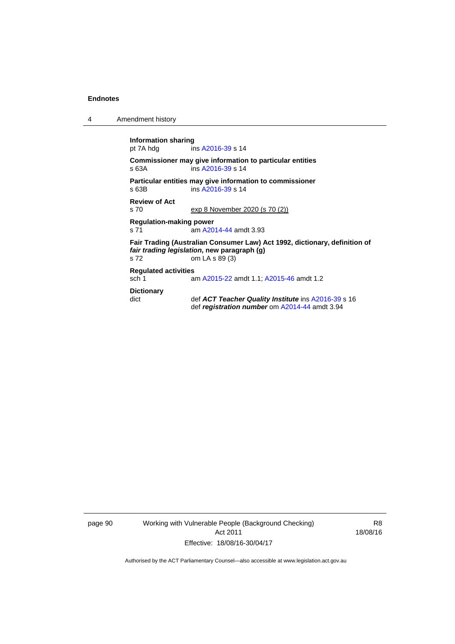4 Amendment history

| Information sharing<br>pt 7A hdg                                                                                                                    | ins A2016-39 s 14                                                                                    |  |  |  |  |
|-----------------------------------------------------------------------------------------------------------------------------------------------------|------------------------------------------------------------------------------------------------------|--|--|--|--|
| Commissioner may give information to particular entities<br>ins A2016-39 s 14<br>s 63A                                                              |                                                                                                      |  |  |  |  |
| Particular entities may give information to commissioner<br>ins A2016-39 s 14<br>s 63B                                                              |                                                                                                      |  |  |  |  |
| <b>Review of Act</b><br>s 70                                                                                                                        | exp 8 November 2020 (s 70 (2))                                                                       |  |  |  |  |
| <b>Regulation-making power</b><br>am A2014-44 amdt 3.93<br>s 71                                                                                     |                                                                                                      |  |  |  |  |
| Fair Trading (Australian Consumer Law) Act 1992, dictionary, definition of<br>fair trading legislation, new paragraph (g)<br>om LA s 89 (3)<br>s 72 |                                                                                                      |  |  |  |  |
| <b>Regulated activities</b><br>sch 1<br>am A2015-22 amdt 1.1, A2015-46 amdt 1.2                                                                     |                                                                                                      |  |  |  |  |
| <b>Dictionary</b><br>dict                                                                                                                           | def ACT Teacher Quality Institute ins A2016-39 s 16<br>def registration number om A2014-44 amdt 3.94 |  |  |  |  |

page 90 Working with Vulnerable People (Background Checking) Act 2011 Effective: 18/08/16-30/04/17

R8 18/08/16